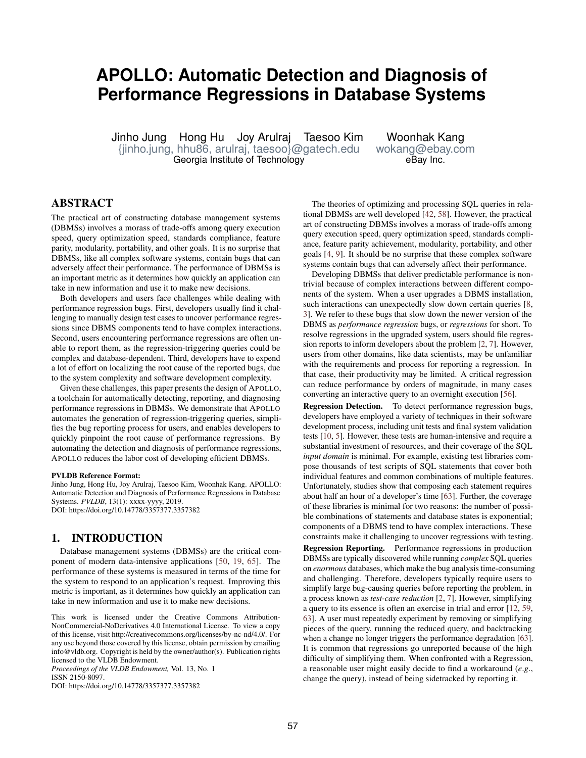# <span id="page-0-0"></span>**APOLLO: Automatic Detection and Diagnosis of Performance Regressions in Database Systems**

Jinho Jung Hong Hu Joy Arulraj Taesoo Kim Woonhak Kang [{jinho.jung, hhu86, arulraj, taesoo}@gatech.edu](mailto:\protect \T1\textbraceleft jinho.jung, hhu86, arulraj, taesoo\protect \T1\textbraceright @gatech.edu) [wokang@ebay.com](mailto:wokang@ebay.com) Georgia Institute of Technology

## ABSTRACT

The practical art of constructing database management systems (DBMSs) involves a morass of trade-offs among query execution speed, query optimization speed, standards compliance, feature parity, modularity, portability, and other goals. It is no surprise that DBMSs, like all complex software systems, contain bugs that can adversely affect their performance. The performance of DBMSs is an important metric as it determines how quickly an application can take in new information and use it to make new decisions.

Both developers and users face challenges while dealing with performance regression bugs. First, developers usually find it challenging to manually design test cases to uncover performance regressions since DBMS components tend to have complex interactions. Second, users encountering performance regressions are often unable to report them, as the regression-triggering queries could be complex and database-dependent. Third, developers have to expend a lot of effort on localizing the root cause of the reported bugs, due to the system complexity and software development complexity.

Given these challenges, this paper presents the design of APOLLO, a toolchain for automatically detecting, reporting, and diagnosing performance regressions in DBMSs. We demonstrate that APOLLO automates the generation of regression-triggering queries, simplifies the bug reporting process for users, and enables developers to quickly pinpoint the root cause of performance regressions. By automating the detection and diagnosis of performance regressions, APOLLO reduces the labor cost of developing efficient DBMSs.

#### PVLDB Reference Format:

Jinho Jung, Hong Hu, Joy Arulraj, Taesoo Kim, Woonhak Kang. APOLLO: Automatic Detection and Diagnosis of Performance Regressions in Database Systems. *PVLDB*, 13(1): xxxx-yyyy, 2019. DOI: https://doi.org/10.14778/3357377.3357382

#### 1. INTRODUCTION

Database management systems (DBMSs) are the critical component of modern data-intensive applications [\[50,](#page-12-0) [19,](#page-12-1) [65\]](#page-13-0). The performance of these systems is measured in terms of the time for the system to respond to an application's request. Improving this metric is important, as it determines how quickly an application can take in new information and use it to make new decisions.

*Proceedings of the VLDB Endowment,* Vol. 13, No. 1 ISSN 2150-8097.

DOI: https://doi.org/10.14778/3357377.3357382

The theories of optimizing and processing SQL queries in relational DBMSs are well developed [\[42,](#page-12-2) [58\]](#page-13-1). However, the practical art of constructing DBMSs involves a morass of trade-offs among query execution speed, query optimization speed, standards compliance, feature parity achievement, modularity, portability, and other goals [\[4,](#page-12-3) [9\]](#page-12-4). It should be no surprise that these complex software systems contain bugs that can adversely affect their performance.

Developing DBMSs that deliver predictable performance is nontrivial because of complex interactions between different components of the system. When a user upgrades a DBMS installation, such interactions can unexpectedly slow down certain queries [\[8,](#page-12-5) [3\]](#page-12-6). We refer to these bugs that slow down the newer version of the DBMS as *performance regression* bugs, or *regressions* for short. To resolve regressions in the upgraded system, users should file regression reports to inform developers about the problem [\[2,](#page-12-7) [7\]](#page-12-8). However, users from other domains, like data scientists, may be unfamiliar with the requirements and process for reporting a regression. In that case, their productivity may be limited. A critical regression can reduce performance by orders of magnitude, in many cases converting an interactive query to an overnight execution [\[56\]](#page-13-2).

Regression Detection. To detect performance regression bugs, developers have employed a variety of techniques in their software development process, including unit tests and final system validation tests [\[10,](#page-12-9) [5\]](#page-12-10). However, these tests are human-intensive and require a substantial investment of resources, and their coverage of the SQL *input domain* is minimal. For example, existing test libraries compose thousands of test scripts of SQL statements that cover both individual features and common combinations of multiple features. Unfortunately, studies show that composing each statement requires about half an hour of a developer's time [\[63\]](#page-13-3). Further, the coverage of these libraries is minimal for two reasons: the number of possible combinations of statements and database states is exponential; components of a DBMS tend to have complex interactions. These constraints make it challenging to uncover regressions with testing.

Regression Reporting. Performance regressions in production DBMSs are typically discovered while running *complex* SQL queries on *enormous* databases, which make the bug analysis time-consuming and challenging. Therefore, developers typically require users to simplify large bug-causing queries before reporting the problem, in a process known as *test-case reduction* [\[2,](#page-12-7) [7\]](#page-12-8). However, simplifying a query to its essence is often an exercise in trial and error [\[12,](#page-12-11) [59,](#page-13-4) [63\]](#page-13-3). A user must repeatedly experiment by removing or simplifying pieces of the query, running the reduced query, and backtracking when a change no longer triggers the performance degradation [\[63\]](#page-13-3). It is common that regressions go unreported because of the high difficulty of simplifying them. When confronted with a Regression, a reasonable user might easily decide to find a workaround (*e*.*g*., change the query), instead of being sidetracked by reporting it.

This work is licensed under the Creative Commons Attribution-NonCommercial-NoDerivatives 4.0 International License. To view a copy of this license, visit http://creativecommons.org/licenses/by-nc-nd/4.0/. For any use beyond those covered by this license, obtain permission by emailing info@vldb.org. Copyright is held by the owner/author(s). Publication rights licensed to the VLDB Endowment.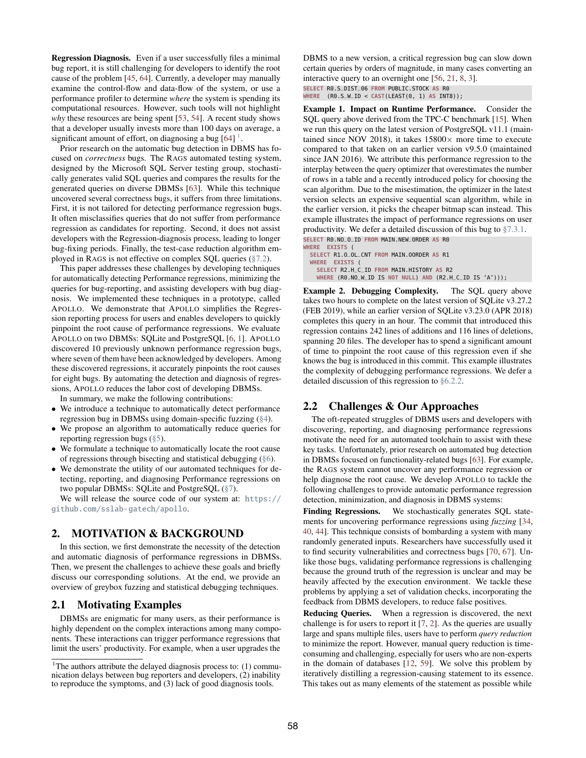Regression Diagnosis. Even if a user successfully files a minimal bug report, it is still challenging for developers to identify the root cause of the problem [\[45,](#page-12-12) [64\]](#page-13-5). Currently, a developer may manually examine the control-flow and data-flow of the system, or use a performance profiler to determine *where* the system is spending its computational resources. However, such tools will not highlight *why* these resources are being spent [\[53,](#page-13-6) [54\]](#page-13-7). A recent study shows that a developer usually invests more than 100 days on average, a significant amount of effort, on diagnosing a bug  $[64]$ <sup>[1](#page-0-0)</sup>.

Prior research on the automatic bug detection in DBMS has focused on *correctness* bugs. The RAGS automated testing system, designed by the Microsoft SQL Server testing group, stochastically generates valid SQL queries and compares the results for the generated queries on diverse DBMSs [\[63\]](#page-13-3). While this technique uncovered several correctness bugs, it suffers from three limitations. First, it is not tailored for detecting performance regression bugs. It often misclassifies queries that do not suffer from performance regression as candidates for reporting. Second, it does not assist developers with the Regression-diagnosis process, leading to longer bug-fixing periods. Finally, the test-case reduction algorithm employed in RAGS is not effective on complex SQL queries [\(§7.2\)](#page-8-0).

This paper addresses these challenges by developing techniques for automatically detecting Performance regressions, minimizing the queries for bug-reporting, and assisting developers with bug diagnosis. We implemented these techniques in a prototype, called APOLLO. We demonstrate that APOLLO simplifies the Regression reporting process for users and enables developers to quickly pinpoint the root cause of performance regressions. We evaluate APOLLO on two DBMSs: SQLite and PostgreSQL [\[6,](#page-12-13) [1\]](#page-12-14). APOLLO discovered 10 previously unknown performance regression bugs, where seven of them have been acknowledged by developers. Among these discovered regressions, it accurately pinpoints the root causes for eight bugs. By automating the detection and diagnosis of regressions, APOLLO reduces the labor cost of developing DBMSs.

In summary, we make the following contributions:

- We introduce a technique to automatically detect performance regression bug in DBMSs using domain-specific fuzzing [\(§4\)](#page-2-0).
- We propose an algorithm to automatically reduce queries for reporting regression bugs [\(§5\)](#page-4-0).
- We formulate a technique to automatically locate the root cause of regressions through bisecting and statistical debugging [\(§6\)](#page-5-0).
- We demonstrate the utility of our automated techniques for detecting, reporting, and diagnosing Performance regressions on two popular DBMSs: SQLite and PostgreSQL [\(§7\)](#page-7-0).

We will release the source code of our system at: [https://](https://github.com/sslab-gatech/apollo) [github.com/sslab-gatech/apollo](https://github.com/sslab-gatech/apollo).

## 2. MOTIVATION & BACKGROUND

In this section, we first demonstrate the necessity of the detection and automatic diagnosis of performance regressions in DBMSs. Then, we present the challenges to achieve these goals and briefly discuss our corresponding solutions. At the end, we provide an overview of greybox fuzzing and statistical debugging techniques.

#### <span id="page-1-0"></span>2.1 Motivating Examples

DBMSs are enigmatic for many users, as their performance is highly dependent on the complex interactions among many components. These interactions can trigger performance regressions that limit the users' productivity. For example, when a user upgrades the DBMS to a new version, a critical regression bug can slow down certain queries by orders of magnitude, in many cases converting an interactive query to an overnight one [\[56,](#page-13-2) [21,](#page-12-15) [8,](#page-12-5) [3\]](#page-12-6).

**SELECT** R0.S\_DIST\_06 **FROM** PUBLIC.STOCK **AS** R0

**WHERE** (R0.S\_W\_ID < **CAST**(LEAST(0, 1) **AS** INT8));

Example 1. Impact on Runtime Performance. Consider the SQL query above derived from the TPC-C benchmark [\[15\]](#page-12-16). When we run this query on the latest version of PostgreSQL v11.1 (maintained since NOV 2018), it takes  $15800\times$  more time to execute compared to that taken on an earlier version v9.5.0 (maintained since JAN 2016). We attribute this performance regression to the interplay between the query optimizer that overestimates the number of rows in a table and a recently introduced policy for choosing the scan algorithm. Due to the misestimation, the optimizer in the latest version selects an expensive sequential scan algorithm, while in the earlier version, it picks the cheaper bitmap scan instead. This example illustrates the impact of performance regressions on user productivity. We defer a detailed discussion of this bug to [§7.3.1.](#page-9-0)

**SELECT** R0.NO\_O\_ID **FROM** MAIN.NEW\_ORDER **AS** R0 WHERE **EXISTS SELECT** R1.O\_OL\_CNT **FROM** MAIN.OORDER **AS** R1 **WHERE EXISTS** ( **SELECT** R2.H\_C\_ID **FROM** MAIN.HISTORY **AS** R2 **WHERE** (R0.NO\_W\_ID IS **NOT NULL**) **AND** (R2.H\_C\_ID IS 'A')));

Example 2. Debugging Complexity. The SQL query above takes two hours to complete on the latest version of SQLite v3.27.2 (FEB 2019), while an earlier version of SQLite v3.23.0 (APR 2018) completes this query in an hour. The commit that introduced this regression contains 242 lines of additions and 116 lines of deletions, spanning 20 files. The developer has to spend a significant amount of time to pinpoint the root cause of this regression even if she knows the bug is introduced in this commit. This example illustrates the complexity of debugging performance regressions. We defer a detailed discussion of this regression to [§6.2.2.](#page-6-0)

#### 2.2 Challenges & Our Approaches

The oft-repeated struggles of DBMS users and developers with discovering, reporting, and diagnosing performance regressions motivate the need for an automated toolchain to assist with these key tasks. Unfortunately, prior research on automated bug detection in DBMSs focused on functionality-related bugs [\[63\]](#page-13-3). For example, the RAGS system cannot uncover any performance regression or help diagnose the root cause. We develop APOLLO to tackle the following challenges to provide automatic performance regression detection, minimization, and diagnosis in DBMS systems:

Finding Regressions. We stochastically generates SQL statements for uncovering performance regressions using *fuzzing* [\[34,](#page-12-17) [40,](#page-12-18) [44\]](#page-12-19). This technique consists of bombarding a system with many randomly generated inputs. Researchers have successfully used it to find security vulnerabilities and correctness bugs [\[70,](#page-13-8) [67\]](#page-13-9). Unlike those bugs, validating performance regressions is challenging because the ground truth of the regression is unclear and may be heavily affected by the execution environment. We tackle these problems by applying a set of validation checks, incorporating the feedback from DBMS developers, to reduce false positives.

Reducing Queries. When a regression is discovered, the next challenge is for users to report it [\[7,](#page-12-8) [2\]](#page-12-7). As the queries are usually large and spans multiple files, users have to perform *query reduction* to minimize the report. However, manual query reduction is timeconsuming and challenging, especially for users who are non-experts in the domain of databases [\[12,](#page-12-11) [59\]](#page-13-4). We solve this problem by iteratively distilling a regression-causing statement to its essence. This takes out as many elements of the statement as possible while

<sup>&</sup>lt;sup>1</sup>The authors attribute the delayed diagnosis process to:  $(1)$  communication delays between bug reporters and developers, (2) inability to reproduce the symptoms, and (3) lack of good diagnosis tools.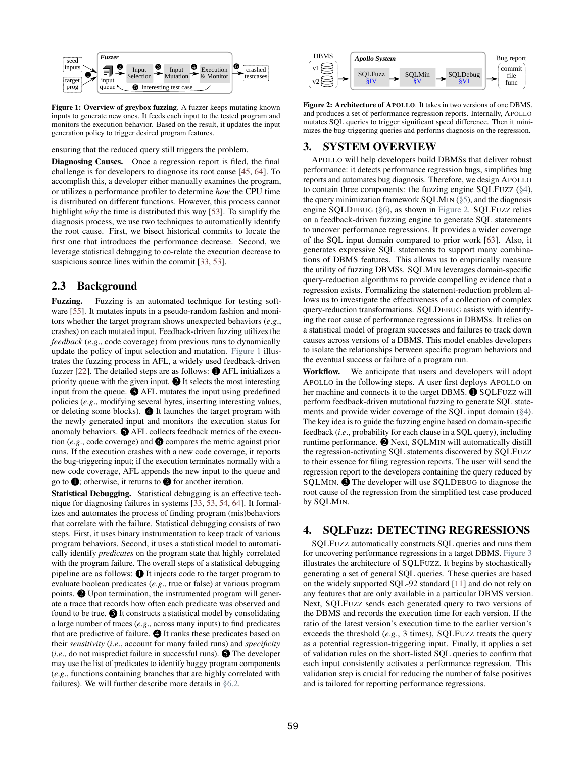<span id="page-2-1"></span>

Figure 1: Overview of greybox fuzzing. A fuzzer keeps mutating known inputs to generate new ones. It feeds each input to the tested program and monitors the execution behavior. Based on the result, it updates the input generation policy to trigger desired program features.

ensuring that the reduced query still triggers the problem.

Diagnosing Causes. Once a regression report is filed, the final challenge is for developers to diagnose its root cause [\[45,](#page-12-12) [64\]](#page-13-5). To accomplish this, a developer either manually examines the program, or utilizes a performance profiler to determine *how* the CPU time is distributed on different functions. However, this process cannot highlight *why* the time is distributed this way [\[53\]](#page-13-6). To simplify the diagnosis process, we use two techniques to automatically identify the root cause. First, we bisect historical commits to locate the first one that introduces the performance decrease. Second, we leverage statistical debugging to co-relate the execution decrease to suspicious source lines within the commit [\[33,](#page-12-20) [53\]](#page-13-6).

## 2.3 Background

Fuzzing. Fuzzing is an automated technique for testing software [\[55\]](#page-13-10). It mutates inputs in a pseudo-random fashion and monitors whether the target program shows unexpected behaviors (*e*.*g*., crashes) on each mutated input. Feedback-driven fuzzing utilizes the *feedback* (*e*.*g*., code coverage) from previous runs to dynamically update the policy of input selection and mutation. [Figure 1](#page-2-1) illustrates the fuzzing process in AFL, a widely used feedback-driven fuzzer [\[22\]](#page-12-21). The detailed steps are as follows:  $\bullet$  AFL initializes a priority queue with the given input.  $\bullet$  It selects the most interesting input from the queue.  $\bigcirc$  AFL mutates the input using predefined policies (*e*.*g*., modifying several bytes, inserting interesting values, or deleting some blocks). 4 It launches the target program with the newly generated input and monitors the execution status for anomaly behaviors.  $\bigcirc$  AFL collects feedback metrics of the execution (*e.g.*, code coverage) and  $\bigcirc$  compares the metric against prior runs. If the execution crashes with a new code coverage, it reports the bug-triggering input; if the execution terminates normally with a new code coverage, AFL appends the new input to the queue and go to  $\bullet$ ; otherwise, it returns to  $\bullet$  for another iteration.

Statistical Debugging. Statistical debugging is an effective technique for diagnosing failures in systems [\[33,](#page-12-20) [53,](#page-13-6) [54,](#page-13-7) [64\]](#page-13-5). It formalizes and automates the process of finding program (mis)behaviors that correlate with the failure. Statistical debugging consists of two steps. First, it uses binary instrumentation to keep track of various program behaviors. Second, it uses a statistical model to automatically identify *predicates* on the program state that highly correlated with the program failure. The overall steps of a statistical debugging pipeline are as follows:  $\bigoplus$  It injects code to the target program to evaluate boolean predicates (*e*.*g*., true or false) at various program points.  $\bullet$  Upon termination, the instrumented program will generate a trace that records how often each predicate was observed and found to be true.  $\bigcirc$  It constructs a statistical model by consolidating a large number of traces (*e*.*g*., across many inputs) to find predicates that are predictive of failure.  $\bigoplus$  It ranks these predicates based on their *sensitivity* (*i*.*e*., account for many failed runs) and *specificity*  $(i.e.,$  do not mispredict failure in successful runs).  $\bigodot$  The developer may use the list of predicates to identify buggy program components (*e*.*g*., functions containing branches that are highly correlated with failures). We will further describe more details in [§6.2.](#page-6-1)

<span id="page-2-2"></span>

Figure 2: Architecture of APOLLO. It takes in two versions of one DBMS, and produces a set of performance regression reports. Internally, APOLLO mutates SQL queries to trigger significant speed difference. Then it minimizes the bug-triggering queries and performs diagnosis on the regression.

## 3. SYSTEM OVERVIEW

APOLLO will help developers build DBMSs that deliver robust performance: it detects performance regression bugs, simplifies bug reports and automates bug diagnosis. Therefore, we design APOLLO to contain three components: the fuzzing engine SQLFUZZ [\(§4\)](#page-2-0), the query minimization framework SQLMIN [\(§5\)](#page-4-0), and the diagnosis engine SQLDEBUG [\(§6\)](#page-5-0), as shown in [Figure 2.](#page-2-2) SQLFUZZ relies on a feedback-driven fuzzing engine to generate SQL statements to uncover performance regressions. It provides a wider coverage of the SQL input domain compared to prior work [\[63\]](#page-13-3). Also, it generates expressive SQL statements to support many combinations of DBMS features. This allows us to empirically measure the utility of fuzzing DBMSs. SQLMIN leverages domain-specific query-reduction algorithms to provide compelling evidence that a regression exists. Formalizing the statement-reduction problem allows us to investigate the effectiveness of a collection of complex query-reduction transformations. SQLDEBUG assists with identifying the root cause of performance regressions in DBMSs. It relies on a statistical model of program successes and failures to track down causes across versions of a DBMS. This model enables developers to isolate the relationships between specific program behaviors and the eventual success or failure of a program run.

Workflow. We anticipate that users and developers will adopt APOLLO in the following steps. A user first deploys APOLLO on her machine and connects it to the target DBMS.  $\bigcirc$  SQLFUZZ will perform feedback-driven mutational fuzzing to generate SQL statements and provide wider coverage of the SQL input domain [\(§4\)](#page-2-0). The key idea is to guide the fuzzing engine based on domain-specific feedback (*i*.*e*., probability for each clause in a SQL query), including runtime performance. <sup>2</sup> Next, SQLMIN will automatically distill the regression-activating SQL statements discovered by SQLFUZZ to their essence for filing regression reports. The user will send the regression report to the developers containing the query reduced by SQLMIN. <sup>1</sup> The developer will use SQLDEBUG to diagnose the root cause of the regression from the simplified test case produced by SQLMIN.

#### <span id="page-2-0"></span>4. SQLFuzz: DETECTING REGRESSIONS

SQLFUZZ automatically constructs SQL queries and runs them for uncovering performance regressions in a target DBMS. [Figure 3](#page-3-0) illustrates the architecture of SQLFUZZ. It begins by stochastically generating a set of general SQL queries. These queries are based on the widely supported SQL-92 standard [\[11\]](#page-12-22) and do not rely on any features that are only available in a particular DBMS version. Next, SQLFUZZ sends each generated query to two versions of the DBMS and records the execution time for each version. If the ratio of the latest version's execution time to the earlier version's exceeds the threshold (*e*.*g*., 3 times), SQLFUZZ treats the query as a potential regression-triggering input. Finally, it applies a set of validation rules on the short-listed SQL queries to confirm that each input consistently activates a performance regression. This validation step is crucial for reducing the number of false positives and is tailored for reporting performance regressions.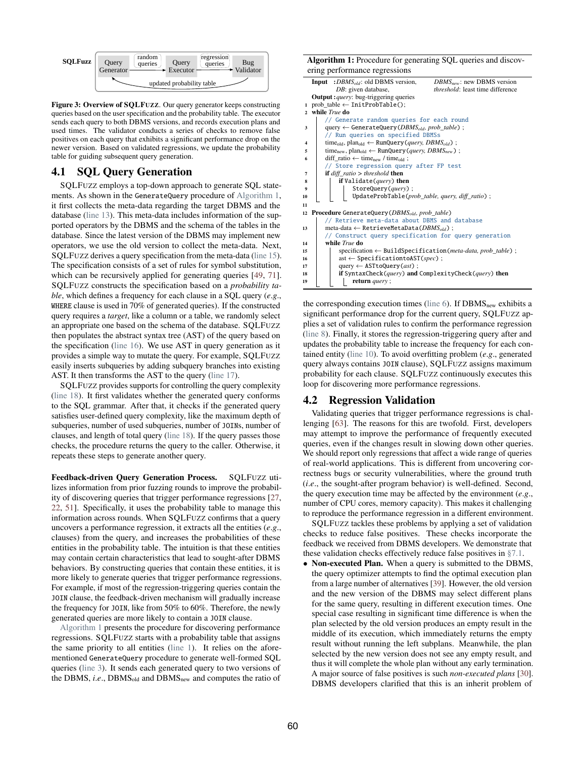<span id="page-3-0"></span>

Figure 3: Overview of SQLFUZZ. Our query generator keeps constructing queries based on the user specification and the probability table. The executor sends each query to both DBMS versions, and records execution plans and used times. The validator conducts a series of checks to remove false positives on each query that exhibits a significant performance drop on the newer version. Based on validated regressions, we update the probability table for guiding subsequent query generation.

## 4.1 SQL Query Generation

SQLFUZZ employs a top-down approach to generate SQL statements. As shown in the GenerateQuery procedure of [Algorithm 1,](#page-3-1) it first collects the meta-data regarding the target DBMS and the database [\(line 13\)](#page-3-2). This meta-data includes information of the supported operators by the DBMS and the schema of the tables in the database. Since the latest version of the DBMS may implement new operators, we use the old version to collect the meta-data. Next, SQLFUZZ derives a query specification from the meta-data [\(line 15\)](#page-3-3). The specification consists of a set of rules for symbol substitution, which can be recursively applied for generating queries [\[49,](#page-12-23) [71\]](#page-13-11). SQLFUZZ constructs the specification based on a *probability table*, which defines a frequency for each clause in a SQL query (*e*.*g*., WHERE clause is used in 70% of generated queries). If the constructed query requires a *target*, like a column or a table, we randomly select an appropriate one based on the schema of the database. SQLFUZZ then populates the abstract syntax tree (AST) of the query based on the specification [\(line 16\)](#page-3-4). We use AST in query generation as it provides a simple way to mutate the query. For example, SQLFUZZ easily inserts subqueries by adding subquery branches into existing AST. It then transforms the AST to the query [\(line 17\)](#page-3-5).

SQLFUZZ provides supports for controlling the query complexity [\(line 18\)](#page-3-6). It first validates whether the generated query conforms to the SQL grammar. After that, it checks if the generated query satisfies user-defined query complexity, like the maximum depth of subqueries, number of used subqueries, number of JOINs, number of clauses, and length of total query [\(line 18\)](#page-3-6). If the query passes those checks, the procedure returns the query to the caller. Otherwise, it repeats these steps to generate another query.

Feedback-driven Query Generation Process. SQLFUZZ utilizes information from prior fuzzing rounds to improve the probability of discovering queries that trigger performance regressions [\[27,](#page-12-24) [22,](#page-12-21) [51\]](#page-12-25). Specifically, it uses the probability table to manage this information across rounds. When SQLFUZZ confirms that a query uncovers a performance regression, it extracts all the entities (*e*.*g*., clauses) from the query, and increases the probabilities of these entities in the probability table. The intuition is that these entities may contain certain characteristics that lead to sought-after DBMS behaviors. By constructing queries that contain these entities, it is more likely to generate queries that trigger performance regressions. For example, if most of the regression-triggering queries contain the JOIN clause, the feedback-driven mechanism will gradually increase the frequency for JOIN, like from 50% to 60%. Therefore, the newly generated queries are more likely to contain a JOIN clause.

[Algorithm 1](#page-3-1) presents the procedure for discovering performance regressions. SQLFUZZ starts with a probability table that assigns the same priority to all entities [\(line 1\)](#page-3-7). It relies on the aforementioned GenerateQuery procedure to generate well-formed SQL queries [\(line 3\)](#page-3-8). It sends each generated query to two versions of the DBMS, *i.e.*, DBMS<sub>old</sub> and DBMS<sub>new</sub> and computes the ratio of

<span id="page-3-10"></span><span id="page-3-9"></span><span id="page-3-8"></span><span id="page-3-7"></span>

|    | <b>Algorithm 1:</b> Procedure for generating SQL queries and discov-                                            |  |  |  |  |  |  |  |
|----|-----------------------------------------------------------------------------------------------------------------|--|--|--|--|--|--|--|
|    | ering performance regressions                                                                                   |  |  |  |  |  |  |  |
|    | <b>Input</b> : $DBMS_{old}$ : old DBMS version,<br>$DBMS_{new}$ : new DBMS version                              |  |  |  |  |  |  |  |
|    | <i>threshold</i> : least time difference<br>DB: given database,                                                 |  |  |  |  |  |  |  |
|    | <b>Output</b> : <i>query</i> : bug-triggering queries                                                           |  |  |  |  |  |  |  |
|    | 1 prob table $\leftarrow$ InitProbTable();                                                                      |  |  |  |  |  |  |  |
|    | 2 while True do                                                                                                 |  |  |  |  |  |  |  |
|    | // Generate random queries for each round                                                                       |  |  |  |  |  |  |  |
| 3  | query $\leftarrow$ GenerateQuery (DBMS <sub>old</sub> , prob table);                                            |  |  |  |  |  |  |  |
|    | // Run queries on specified DBMSs                                                                               |  |  |  |  |  |  |  |
| 4  | time <sub>old</sub> , plan <sub>old</sub> $\leftarrow$ RunQuery ( <i>query</i> , <i>DBMS<sub>old</sub></i> );   |  |  |  |  |  |  |  |
| 5  | time <sub>new</sub> , plan <sub>old</sub> $\leftarrow$ RunQuery ( <i>query</i> , <i>DBMS</i> <sub>new</sub> ) ; |  |  |  |  |  |  |  |
| 6  | diff ratio $\leftarrow$ time <sub>new</sub> / time <sub>old</sub> ;                                             |  |  |  |  |  |  |  |
|    | // Store regression query after FP test                                                                         |  |  |  |  |  |  |  |
| 7  | <b>if</b> $diff$ ratio $>$ threshold <b>then</b>                                                                |  |  |  |  |  |  |  |
| 8  | if Validate (query) then                                                                                        |  |  |  |  |  |  |  |
| 9  | StoreQuery(query);                                                                                              |  |  |  |  |  |  |  |
| 10 | UpdateProbTable(prob_table, query, diff_ratio);                                                                 |  |  |  |  |  |  |  |
| 11 |                                                                                                                 |  |  |  |  |  |  |  |
| 12 | <b>Procedure</b> GenerateQuery ( $DBMS_{old}$ , prob_table)                                                     |  |  |  |  |  |  |  |
|    | // Retrieve meta-data about DBMS and database                                                                   |  |  |  |  |  |  |  |
| 13 | meta-data $\leftarrow$ RetrieveMetaData( $DBMS_{old}$ );                                                        |  |  |  |  |  |  |  |
|    | // Construct query specification for query generation<br>while True do                                          |  |  |  |  |  |  |  |
| 14 |                                                                                                                 |  |  |  |  |  |  |  |
| 15 | specification $\leftarrow$ BuildSpecification( <i>meta-data, prob table</i> );                                  |  |  |  |  |  |  |  |
| 16 | ast $\leftarrow$ SpecificationtoAST(spec);<br>query $\leftarrow$ AST to Query ( <i>ast</i> ) :                  |  |  |  |  |  |  |  |
| 17 |                                                                                                                 |  |  |  |  |  |  |  |
| 18 | if SyntaxCheck(query) and ComplexityCheck(query) then                                                           |  |  |  |  |  |  |  |
| 19 | return query;                                                                                                   |  |  |  |  |  |  |  |

<span id="page-3-11"></span><span id="page-3-6"></span><span id="page-3-5"></span><span id="page-3-4"></span><span id="page-3-3"></span><span id="page-3-2"></span><span id="page-3-1"></span>the corresponding execution times [\(line 6\)](#page-3-9). If DBMS<sub>new</sub> exhibits a significant performance drop for the current query, SQLFUZZ applies a set of validation rules to confirm the performance regression [\(line 8\)](#page-3-10). Finally, it stores the regression-triggering query after and updates the probability table to increase the frequency for each contained entity [\(line 10\)](#page-3-11). To avoid overfitting problem (*e*.*g*., generated query always contains JOIN clause), SQLFUZZ assigns maximum probability for each clause. SQLFUZZ continuously executes this loop for discovering more performance regressions.

## <span id="page-3-12"></span>4.2 Regression Validation

Validating queries that trigger performance regressions is challenging [\[63\]](#page-13-3). The reasons for this are twofold. First, developers may attempt to improve the performance of frequently executed queries, even if the changes result in slowing down other queries. We should report only regressions that affect a wide range of queries of real-world applications. This is different from uncovering correctness bugs or security vulnerabilities, where the ground truth (*i*.*e*., the sought-after program behavior) is well-defined. Second, the query execution time may be affected by the environment (*e*.*g*., number of CPU cores, memory capacity). This makes it challenging to reproduce the performance regression in a different environment.

SQLFUZZ tackles these problems by applying a set of validation checks to reduce false positives. These checks incorporate the feedback we received from DBMS developers. We demonstrate that these validation checks effectively reduce false positives in [§7.1.](#page-7-1)

• Non-executed Plan. When a query is submitted to the DBMS, the query optimizer attempts to find the optimal execution plan from a large number of alternatives [\[39\]](#page-12-26). However, the old version and the new version of the DBMS may select different plans for the same query, resulting in different execution times. One special case resulting in significant time difference is when the plan selected by the old version produces an empty result in the middle of its execution, which immediately returns the empty result without running the left subplans. Meanwhile, the plan selected by the new version does not see any empty result, and thus it will complete the whole plan without any early termination. A major source of false positives is such *non-executed plans* [\[30\]](#page-12-27). DBMS developers clarified that this is an inherit problem of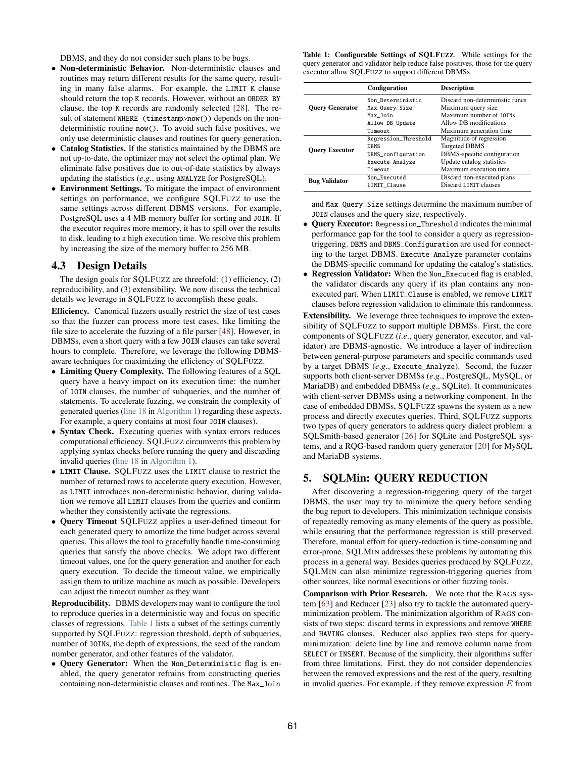DBMS, and they do not consider such plans to be bugs.

- Non-deterministic Behavior. Non-deterministic clauses and routines may return different results for the same query, resulting in many false alarms. For example, the LIMIT K clause should return the top K records. However, without an ORDER BY clause, the top K records are randomly selected [\[28\]](#page-12-28). The result of statement WHERE (timestamp>now()) depends on the nondeterministic routine now(). To avoid such false positives, we only use deterministic clauses and routines for query generation.
- Catalog Statistics. If the statistics maintained by the DBMS are not up-to-date, the optimizer may not select the optimal plan. We eliminate false positives due to out-of-date statistics by always updating the statistics (*e*.*g*., using ANALYZE for PostgreSQL).
- Environment Settings. To mitigate the impact of environment settings on performance, we configure SQLFUZZ to use the same settings across different DBMS versions. For example, PostgreSQL uses a 4 MB memory buffer for sorting and JOIN. If the executor requires more memory, it has to spill over the results to disk, leading to a high execution time. We resolve this problem by increasing the size of the memory buffer to 256 MB.

#### 4.3 Design Details

The design goals for SQLFUZZ are threefold: (1) efficiency, (2) reproducibility, and (3) extensibility. We now discuss the technical details we leverage in SQLFUZZ to accomplish these goals.

Efficiency. Canonical fuzzers usually restrict the size of test cases so that the fuzzer can process more test cases, like limiting the file size to accelerate the fuzzing of a file parser [\[48\]](#page-12-29). However, in DBMSs, even a short query with a few JOIN clauses can take several hours to complete. Therefore, we leverage the following DBMSaware techniques for maximizing the efficiency of SQLFUZZ.

- Limiting Query Complexity. The following features of a SQL query have a heavy impact on its execution time: the number of JOIN clauses, the number of subqueries, and the number of statements. To accelerate fuzzing, we constrain the complexity of generated queries [\(line 18](#page-3-6) in [Algorithm 1\)](#page-3-1) regarding these aspects. For example, a query contains at most four JOIN clauses).
- Syntax Check. Executing queries with syntax errors reduces computational efficiency. SQLFUZZ circumvents this problem by applying syntax checks before running the query and discarding invalid queries [\(line 18](#page-3-6) in [Algorithm 1\)](#page-3-1).
- LIMIT Clause. SQLFUZZ uses the LIMIT clause to restrict the number of returned rows to accelerate query execution. However, as LIMIT introduces non-deterministic behavior, during validation we remove all LIMIT clauses from the queries and confirm whether they consistently activate the regressions.
- Query Timeout SQLFUZZ applies a user-defined timeout for each generated query to amortize the time budget across several queries. This allows the tool to gracefully handle time-consuming queries that satisfy the above checks. We adopt two different timeout values, one for the query generation and another for each query execution. To decide the timeout value, we empirically assign them to utilize machine as much as possible. Developers can adjust the timeout number as they want.

Reproducibility. DBMS developers may want to configure the tool to reproduce queries in a deterministic way and focus on specific classes of regressions. [Table 1](#page-4-1) lists a subset of the settings currently supported by SQLFUZZ: regression threshold, depth of subqueries, number of JOINs, the depth of expressions, the seed of the random number generator, and other features of the validator.

• Query Generator: When the Non\_Deterministic flag is enabled, the query generator refrains from constructing queries containing non-deterministic clauses and routines. The Max\_Join Table 1: Configurable Settings of SQLFUZZ. While settings for the query generator and validator help reduce false positives, those for the query executor allow SQLFUZZ to support different DBMSs.

<span id="page-4-1"></span>

|                        | <b>Configuration</b> | <b>Description</b>              |  |
|------------------------|----------------------|---------------------------------|--|
|                        | Non Deterministic    | Discard non-deterministic funcs |  |
| <b>Ouery Generator</b> | Max_Query_Size       | Maximum query size              |  |
|                        | Max Join             | Maximum number of 10TNs         |  |
|                        | Allow_DB_Update      | Allow DB modifications          |  |
|                        | Timeout              | Maximum generation time         |  |
|                        | Regression_Threshold | Magnitude of regression         |  |
|                        | <b>DBMS</b>          | <b>Targeted DBMS</b>            |  |
| <b>Ouerv Executor</b>  | DBMS_configuration   | DBMS-specific configuration     |  |
|                        | Execute_Analyze      | Update catalog statistics       |  |
|                        | Timeout              | Maximum execution time          |  |
| <b>Bug Validator</b>   | Non Executed         | Discard non-executed plans      |  |
|                        | LIMIT Clause         | Discard LIMIT clauses           |  |

and Max\_Query\_Size settings determine the maximum number of JOIN clauses and the query size, respectively.

- Query Executor: Regression\_Threshold indicates the minimal performance gap for the tool to consider a query as regressiontriggering. DBMS and DBMS\_Configuration are used for connecting to the target DBMS. Execute\_Analyze parameter contains the DBMS-specific command for updating the catalog's statistics.
- Regression Validator: When the Non\_Executed flag is enabled, the validator discards any query if its plan contains any nonexecuted part. When LIMIT\_Clause is enabled, we remove LIMIT clauses before regression validation to eliminate this randomness.

Extensibility. We leverage three techniques to improve the extensibility of SQLFUZZ to support multiple DBMSs. First, the core components of SQLFUZZ (*i*.*e*., query generator, executor, and validator) are DBMS-agnostic. We introduce a layer of indirection between general-purpose parameters and specific commands used by a target DBMS (*e*.*g*., Execute\_Analyze). Second, the fuzzer supports both client-server DBMSs (*e*.*g*., PostgreSQL, MySQL, or MariaDB) and embedded DBMSs (*e*.*g*., SQLite). It communicates with client-server DBMSs using a networking component. In the case of embedded DBMSs, SQLFUZZ spawns the system as a new process and directly executes queries. Third, SQLFUZZ supports two types of query generators to address query dialect problem: a SQLSmith-based generator [\[26\]](#page-12-30) for SQLite and PostgreSQL systems, and a RQG-based random query generator [\[20\]](#page-12-31) for MySQL and MariaDB systems.

## <span id="page-4-0"></span>5. SQLMin: QUERY REDUCTION

After discovering a regression-triggering query of the target DBMS, the user may try to minimize the query before sending the bug report to developers. This minimization technique consists of repeatedly removing as many elements of the query as possible, while ensuring that the performance regression is still preserved. Therefore, manual effort for query-reduction is time-consuming and error-prone. SQLMIN addresses these problems by automating this process in a general way. Besides queries produced by SQLFUZZ, SQLMIN can also minimize regression-triggering queries from other sources, like normal executions or other fuzzing tools.

Comparison with Prior Research. We note that the RAGS system [\[63\]](#page-13-3) and Reducer [\[23\]](#page-12-32) also try to tackle the automated queryminimization problem. The minimization algorithm of RAGS consists of two steps: discard terms in expressions and remove WHERE and HAVING clauses. Reducer also applies two steps for queryminimization: delete line by line and remove column name from SELECT or INSERT. Because of the simplicity, their algorithms suffer from three limitations. First, they do not consider dependencies between the removed expressions and the rest of the query, resulting in invalid queries. For example, if they remove expression  $E$  from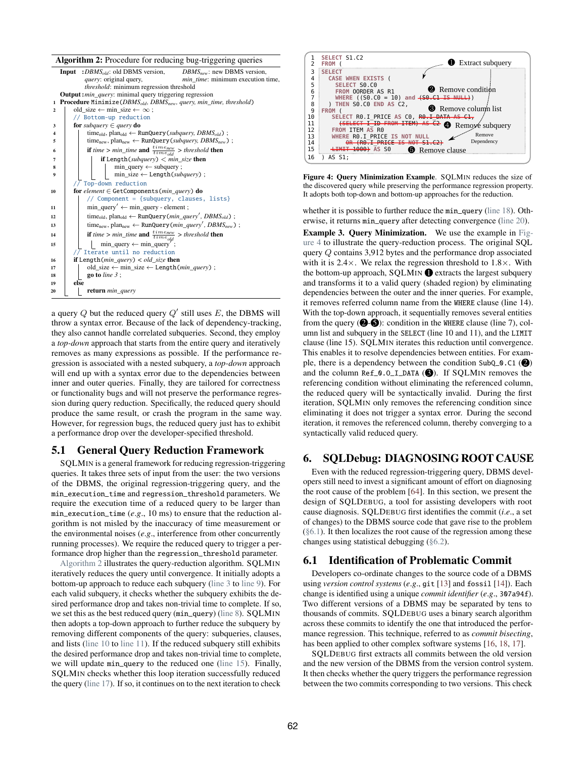<span id="page-5-4"></span><span id="page-5-3"></span><span id="page-5-2"></span>

|              | Algorithm 2: Procedure for reducing bug-triggering queries                                                        |  |  |  |  |  |
|--------------|-------------------------------------------------------------------------------------------------------------------|--|--|--|--|--|
|              | : $DBMS_{old}$ : old DBMS version,<br>$DBMS_{new}$ : new DBMS version,<br>Input                                   |  |  |  |  |  |
|              | <i>query</i> : original query,<br><i>min_time</i> : minimum execution time,                                       |  |  |  |  |  |
|              | threshold: minimum regression threshold                                                                           |  |  |  |  |  |
|              | <b>Output:</b> min_query: minimal query triggering regression                                                     |  |  |  |  |  |
| $\mathbf{1}$ | <b>Procedure Minimize</b> ( $DBMS_{old}$ , $DBMS_{new}$ , query, min_time, threshold)                             |  |  |  |  |  |
| 2            | old_size $\leftarrow$ min_size $\leftarrow \infty$ ;                                                              |  |  |  |  |  |
|              | // Bottom-up reduction                                                                                            |  |  |  |  |  |
| 3            | for subquery $\in$ query do                                                                                       |  |  |  |  |  |
| 4            | time <sub>old</sub> , plan <sub>old</sub> $\leftarrow$ RunQuery ( <i>subquery</i> , <i>DBMS<sub>old</sub></i> );  |  |  |  |  |  |
| 5            | $time_{new}$ , plan <sub>new</sub> $\leftarrow$ RunQuery ( <i>subquery</i> , <i>DBMS<sub>new</sub></i> );         |  |  |  |  |  |
| 6            | <b>if</b> time > min_time <b>and</b> $\frac{time_{new}}{time_{old}}$ > threshold <b>then</b>                      |  |  |  |  |  |
| 7            | <b>if</b> Length(subquery) $\lt$ min size <b>then</b>                                                             |  |  |  |  |  |
| 8            | $min\_query \leftarrow subquery;$                                                                                 |  |  |  |  |  |
| 9            | $min\_size \leftarrow Length(subquery)$ ;                                                                         |  |  |  |  |  |
|              | // Top-down reduction                                                                                             |  |  |  |  |  |
| 10           | for element $\in$ GetComponents (min query) do                                                                    |  |  |  |  |  |
|              | // Component = {subquery, clauses, lists}                                                                         |  |  |  |  |  |
| 11           | $min\_query' \leftarrow min\_query - element;$                                                                    |  |  |  |  |  |
| 12           | time <sub>old</sub> , plan <sub>old</sub> $\leftarrow$ RunQuery( <i>min_query'</i> , <i>DBMS<sub>old</sub></i> ); |  |  |  |  |  |
| 13           | $time_{new}$ , plan <sub>new</sub> $\leftarrow$ RunQuery ( <i>min_query'</i> , <i>DBMS<sub>new</sub></i> );       |  |  |  |  |  |
| 14           | <b>if</b> time > min_time <b>and</b> $\frac{time_{new}}{time_{old}}$ > threshold <b>then</b>                      |  |  |  |  |  |
| 15           | $min\_query \leftarrow min\_query'$ ;                                                                             |  |  |  |  |  |
|              | $\sqrt{7}$ Iterate until no reduction                                                                             |  |  |  |  |  |
| 16           | <b>if</b> Length( $min\_query$ ) < $old\_size$ then                                                               |  |  |  |  |  |
| 17           | $old\_size \leftarrow min\_size \leftarrow Length(min\_query)$ ;                                                  |  |  |  |  |  |
| 18           | go to line $3$ ;                                                                                                  |  |  |  |  |  |
| 19           | else                                                                                                              |  |  |  |  |  |
| 20           | return min_query                                                                                                  |  |  |  |  |  |
|              |                                                                                                                   |  |  |  |  |  |

<span id="page-5-10"></span><span id="page-5-9"></span><span id="page-5-8"></span><span id="page-5-7"></span><span id="page-5-6"></span><span id="page-5-5"></span><span id="page-5-1"></span>a query  $Q$  but the reduced query  $Q'$  still uses  $E$ , the DBMS will throw a syntax error. Because of the lack of dependency-tracking, they also cannot handle correlated subqueries. Second, they employ a *top-down* approach that starts from the entire query and iteratively removes as many expressions as possible. If the performance regression is associated with a nested subquery, a *top-down* approach will end up with a syntax error due to the dependencies between inner and outer queries. Finally, they are tailored for correctness or functionality bugs and will not preserve the performance regression during query reduction. Specifically, the reduced query should produce the same result, or crash the program in the same way. However, for regression bugs, the reduced query just has to exhibit a performance drop over the developer-specified threshold.

## 5.1 General Query Reduction Framework

SQLMIN is a general framework for reducing regression-triggering queries. It takes three sets of input from the user: the two versions of the DBMS, the original regression-triggering query, and the min\_execution\_time and regression\_threshold parameters. We require the execution time of a reduced query to be larger than min\_execution\_time (*e*.*g*., 10 ms) to ensure that the reduction algorithm is not misled by the inaccuracy of time measurement or the environmental noises (*e*.*g*., interference from other concurrently running processes). We require the reduced query to trigger a performance drop higher than the regression\_threshold parameter.

[Algorithm 2](#page-5-1) illustrates the query-reduction algorithm. SQLMIN iteratively reduces the query until convergence. It initially adopts a bottom-up approach to reduce each subquery [\(line 3](#page-5-2) to [line 9\)](#page-5-3). For each valid subquery, it checks whether the subquery exhibits the desired performance drop and takes non-trivial time to complete. If so, we set this as the best reduced query (min\_query) [\(line 8\)](#page-5-4). SQLMIN then adopts a top-down approach to further reduce the subquery by removing different components of the query: subqueries, clauses, and lists [\(line 10](#page-5-5) to [line 11\)](#page-5-6). If the reduced subquery still exhibits the desired performance drop and takes non-trivial time to complete, we will update min\_query to the reduced one [\(line 15\)](#page-5-7). Finally, SQLMIN checks whether this loop iteration successfully reduced the query [\(line 17\)](#page-5-8). If so, it continues on to the next iteration to check

<span id="page-5-11"></span>

Figure 4: Query Minimization Example. SQLMIN reduces the size of the discovered query while preserving the performance regression property. It adopts both top-down and bottom-up approaches for the reduction.

whether it is possible to further reduce the min\_query [\(line 18\)](#page-5-9). Otherwise, it returns min\_query after detecting convergence [\(line 20\)](#page-5-10).

Example 3. Query Minimization. We use the example in [Fig](#page-5-11)[ure 4](#page-5-11) to illustrate the query-reduction process. The original SQL query Q contains 3,912 bytes and the performance drop associated with it is  $2.4 \times$ . We relax the regression threshold to  $1.8 \times$ . With the bottom-up approach, SQLMIN  $\bigcirc$  extracts the largest subquery and transforms it to a valid query (shaded region) by eliminating dependencies between the outer and the inner queries. For example, it removes referred column name from the WHERE clause (line 14). With the top-down approach, it sequentially removes several entities from the query  $(②-⑤)$ : condition in the WHERE clause (line 7), column list and subquery in the SELECT (line 10 and 11), and the LIMIT clause (line 15). SQLMIN iterates this reduction until convergence. This enables it to resolve dependencies between entities. For example, there is a dependency between the condition SubQ\_0.C1 ( $\bigcirc$ ) and the column  $Ref_0.0_I_DATA$  ( $\bigcirc$ ). If SQLMIN removes the referencing condition without eliminating the referenced column, the reduced query will be syntactically invalid. During the first iteration, SQLMIN only removes the referencing condition since eliminating it does not trigger a syntax error. During the second iteration, it removes the referenced column, thereby converging to a syntactically valid reduced query.

## <span id="page-5-0"></span>6. SQLDebug: DIAGNOSING ROOT CAUSE

Even with the reduced regression-triggering query, DBMS developers still need to invest a significant amount of effort on diagnosing the root cause of the problem [\[64\]](#page-13-5). In this section, we present the design of SQLDEBUG, a tool for assisting developers with root cause diagnosis. SQLDEBUG first identifies the commit (*i*.*e*., a set of changes) to the DBMS source code that gave rise to the problem  $(\S6.1)$ . It then localizes the root cause of the regression among these changes using statistical debugging [\(§6.2\)](#page-6-1).

#### <span id="page-5-12"></span>6.1 Identification of Problematic Commit

Developers co-ordinate changes to the source code of a DBMS using *version control systems* (*e*.*g*., git [\[13\]](#page-12-33) and fossil [\[14\]](#page-12-34)). Each change is identified using a unique *commit identifier* (*e*.*g*., 307a94f). Two different versions of a DBMS may be separated by tens to thousands of commits. SQLDEBUG uses a binary search algorithm across these commits to identify the one that introduced the performance regression. This technique, referred to as *commit bisecting*, has been applied to other complex software systems [\[16,](#page-12-35) [18,](#page-12-36) [17\]](#page-12-37).

SQLDEBUG first extracts all commits between the old version and the new version of the DBMS from the version control system. It then checks whether the query triggers the performance regression between the two commits corresponding to two versions. This check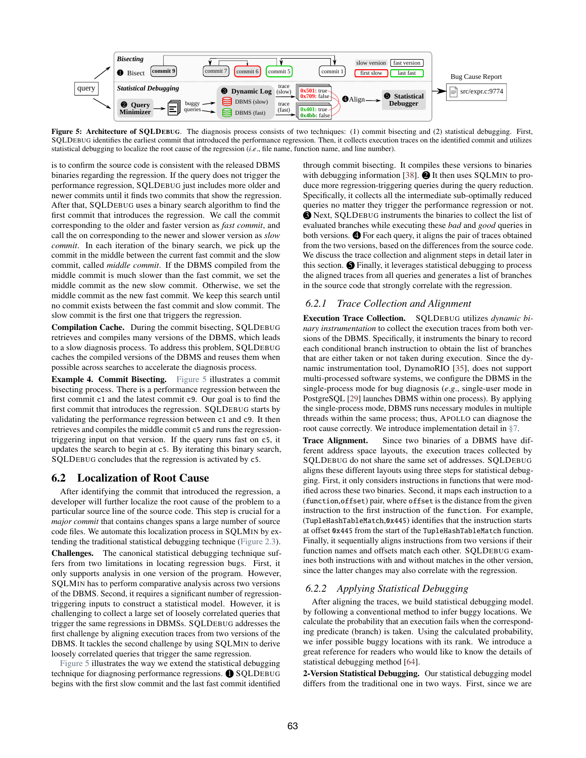<span id="page-6-2"></span>

Figure 5: Architecture of SQLDEBUG. The diagnosis process consists of two techniques: (1) commit bisecting and (2) statistical debugging. First, SQLDEBUG identifies the earliest commit that introduced the performance regression. Then, it collects execution traces on the identified commit and utilizes statistical debugging to localize the root cause of the regression (*i*.*e*., file name, function name, and line number).

is to confirm the source code is consistent with the released DBMS binaries regarding the regression. If the query does not trigger the performance regression, SQLDEBUG just includes more older and newer commits until it finds two commits that show the regression. After that, SQLDEBUG uses a binary search algorithm to find the first commit that introduces the regression. We call the commit corresponding to the older and faster version as *fast commit*, and call the on corresponding to the newer and slower version as *slow commit*. In each iteration of the binary search, we pick up the commit in the middle between the current fast commit and the slow commit, called *middle commit*. If the DBMS compiled from the middle commit is much slower than the fast commit, we set the middle commit as the new slow commit. Otherwise, we set the middle commit as the new fast commit. We keep this search until no commit exists between the fast commit and slow commit. The slow commit is the first one that triggers the regression.

Compilation Cache. During the commit bisecting, SQLDEBUG retrieves and compiles many versions of the DBMS, which leads to a slow diagnosis process. To address this problem, SQLDEBUG caches the compiled versions of the DBMS and reuses them when possible across searches to accelerate the diagnosis process.

Example 4. Commit Bisecting. [Figure 5](#page-6-2) illustrates a commit bisecting process. There is a performance regression between the first commit c1 and the latest commit c9. Our goal is to find the first commit that introduces the regression. SQLDEBUG starts by validating the performance regression between c1 and c9. It then retrieves and compiles the middle commit c5 and runs the regressiontriggering input on that version. If the query runs fast on c5, it updates the search to begin at c5. By iterating this binary search, SQLDEBUG concludes that the regression is activated by c5.

#### <span id="page-6-1"></span>6.2 Localization of Root Cause

After identifying the commit that introduced the regression, a developer will further localize the root cause of the problem to a particular source line of the source code. This step is crucial for a *major commit* that contains changes spans a large number of source code files. We automate this localization process in SQLMIN by extending the traditional statistical debugging technique [\(Figure 2.3\)](#page-2-1). Challenges. The canonical statistical debugging technique suffers from two limitations in locating regression bugs. First, it only supports analysis in one version of the program. However, SQLMIN has to perform comparative analysis across two versions of the DBMS. Second, it requires a significant number of regressiontriggering inputs to construct a statistical model. However, it is challenging to collect a large set of loosely correlated queries that trigger the same regressions in DBMSs. SQLDEBUG addresses the first challenge by aligning execution traces from two versions of the DBMS. It tackles the second challenge by using SQLMIN to derive loosely correlated queries that trigger the same regression.

[Figure 5](#page-6-2) illustrates the way we extend the statistical debugging technique for diagnosing performance regressions.  $\bigcirc$  SQLDEBUG begins with the first slow commit and the last fast commit identified through commit bisecting. It compiles these versions to binaries with debugging information [\[38\]](#page-12-38).  $\bullet$  It then uses SQLMIN to produce more regression-triggering queries during the query reduction. Specifically, it collects all the intermediate sub-optimally reduced queries no matter they trigger the performance regression or not.  $\bigcirc$  Next, SQLDEBUG instruments the binaries to collect the list of evaluated branches while executing these *bad* and *good* queries in both versions.  $\bullet$  For each query, it aligns the pair of traces obtained from the two versions, based on the differences from the source code. We discuss the trace collection and alignment steps in detail later in this section.  $\bigcirc$  Finally, it leverages statistical debugging to process the aligned traces from all queries and generates a list of branches in the source code that strongly correlate with the regression.

#### *6.2.1 Trace Collection and Alignment*

Execution Trace Collection. SQLDEBUG utilizes *dynamic binary instrumentation* to collect the execution traces from both versions of the DBMS. Specifically, it instruments the binary to record each conditional branch instruction to obtain the list of branches that are either taken or not taken during execution. Since the dynamic instrumentation tool, DynamoRIO [\[35\]](#page-12-39), does not support multi-processed software systems, we configure the DBMS in the single-process mode for bug diagnosis (*e*.*g*., single-user mode in PostgreSQL [\[29\]](#page-12-40) launches DBMS within one process). By applying the single-process mode, DBMS runs necessary modules in multiple threads within the same process; thus, APOLLO can diagnose the root cause correctly. We introduce implementation detail in [§7.](#page-7-0)

Trace Alignment. Since two binaries of a DBMS have different address space layouts, the execution traces collected by SQLDEBUG do not share the same set of addresses. SQLDEBUG aligns these different layouts using three steps for statistical debugging. First, it only considers instructions in functions that were modified across these two binaries. Second, it maps each instruction to a (function,offset) pair, where offset is the distance from the given instruction to the first instruction of the function. For example, (TupleHashTableMatch,0x445) identifies that the instruction starts at offset 0x445 from the start of the TupleHashTableMatch function. Finally, it sequentially aligns instructions from two versions if their function names and offsets match each other. SQLDEBUG examines both instructions with and without matches in the other version, since the latter changes may also correlate with the regression.

#### <span id="page-6-0"></span>*6.2.2 Applying Statistical Debugging*

After aligning the traces, we build statistical debugging model. by following a conventional method to infer buggy locations. We calculate the probability that an execution fails when the corresponding predicate (branch) is taken. Using the calculated probability, we infer possible buggy locations with its rank. We introduce a great reference for readers who would like to know the details of statistical debugging method [\[64\]](#page-13-5).

2-Version Statistical Debugging. Our statistical debugging model differs from the traditional one in two ways. First, since we are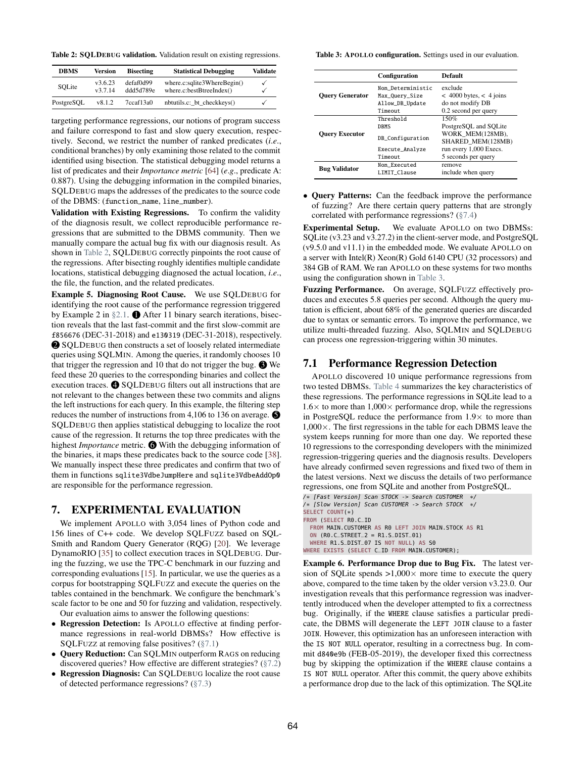Table 2: SQLDEBUG validation. Validation result on existing regressions.

<span id="page-7-2"></span>

| <b>DBMS</b> | Version          | <b>Bisecting</b>       | <b>Statistical Debugging</b>                              | <b>Validate</b>   |
|-------------|------------------|------------------------|-----------------------------------------------------------|-------------------|
| SOLite      | v3.6.23<br>v3714 | defaf0d99<br>ddd5d789e | where.c:sqlite3WhereBegin()<br>where.c: bestB treeIndex() | √<br>$\checkmark$ |
| PostgreSOL  | v8.1.2           | 7ccaf13a0              | nbtutils.c:_bt_checkkeys()                                | $\checkmark$      |

targeting performance regressions, our notions of program success and failure correspond to fast and slow query execution, respectively. Second, we restrict the number of ranked predicates (*i*.*e*., conditional branches) by only examining those related to the commit identified using bisection. The statistical debugging model returns a list of predicates and their *Importance metric* [\[64\]](#page-13-5) (*e*.*g*., predicate A: 0.887). Using the debugging information in the compiled binaries, SQLDEBUG maps the addresses of the predicates to the source code of the DBMS: (function\_name, line\_number).

Validation with Existing Regressions. To confirm the validity of the diagnosis result, we collect reproducible performance regressions that are submitted to the DBMS community. Then we manually compare the actual bug fix with our diagnosis result. As shown in [Table 2,](#page-7-2) SQLDEBUG correctly pinpoints the root cause of the regressions. After bisecting roughly identifies multiple candidate locations, statistical debugging diagnosed the actual location, *i*.*e*., the file, the function, and the related predicates.

Example 5. Diagnosing Root Cause. We use SQLDEBUG for identifying the root cause of the performance regression triggered by Example 2 in  $\S 2.1$ .  $\bullet$  After 11 binary search iterations, bisection reveals that the last fast-commit and the first slow-commit are f856676 (DEC-31-2018) and e130319 (DEC-31-2018), respectively. 2 SQLDEBUG then constructs a set of loosely related intermediate queries using SQLMIN. Among the queries, it randomly chooses 10 that trigger the regression and 10 that do not trigger the bug.  $\bigcirc$  We feed these 20 queries to the corresponding binaries and collect the execution traces.  $\bigcirc$  SQLDEBUG filters out all instructions that are not relevant to the changes between these two commits and aligns the left instructions for each query. In this example, the filtering step reduces the number of instructions from 4,106 to 136 on average.  $\bigcirc$ SQLDEBUG then applies statistical debugging to localize the root cause of the regression. It returns the top three predicates with the highest *Importance* metric. **O** With the debugging information of the binaries, it maps these predicates back to the source code [\[38\]](#page-12-38). We manually inspect these three predicates and confirm that two of them in functions sqlite3VdbeJumpHere and sqlite3VdbeAddOp0 are responsible for the performance regression.

#### <span id="page-7-0"></span>7. EXPERIMENTAL EVALUATION

We implement APOLLO with 3,054 lines of Python code and 156 lines of C++ code. We develop SQLFUZZ based on SQL-Smith and Random Query Generator (RQG) [\[20\]](#page-12-31). We leverage DynamoRIO [\[35\]](#page-12-39) to collect execution traces in SQLDEBUG. During the fuzzing, we use the TPC-C benchmark in our fuzzing and corresponding evaluations [\[15\]](#page-12-16). In particular, we use the queries as a corpus for bootstrapping SQLFUZZ and execute the queries on the tables contained in the benchmark. We configure the benchmark's scale factor to be one and 50 for fuzzing and validation, respectively.

Our evaluation aims to answer the following questions:

- Regression Detection: Is APOLLO effective at finding performance regressions in real-world DBMSs? How effective is SQLFUZZ at removing false positives? [\(§7.1\)](#page-7-1)
- Query Reduction: Can SQLMIN outperform RAGS on reducing discovered queries? How effective are different strategies? [\(§7.2\)](#page-8-0)
- Regression Diagnosis: Can SQLDEBUG localize the root cause of detected performance regressions? [\(§7.3\)](#page-9-1)

Table 3: APOLLO configuration. Settings used in our evaluation.

<span id="page-7-3"></span>

|                        | Configuration     | <b>Default</b>              |
|------------------------|-------------------|-----------------------------|
|                        | Non Deterministic | exclude                     |
| <b>Ouery Generator</b> | Max_Query_Size    | $<$ 4000 bytes, $<$ 4 joins |
|                        | Allow_DB_Update   | do not modify DB            |
|                        | Timeout           | 0.2 second per query        |
|                        | Threshold         | 150%                        |
|                        | <b>DBMS</b>       | PostgreSQL and SQLite       |
| <b>Ouery Executor</b>  | DB_Configuration  | WORK MEM(128MB),            |
|                        |                   | SHARED MEM(128MB)           |
|                        | Execute_Analyze   | run every 1,000 Execs.      |
|                        | Timeout           | 5 seconds per query         |
| <b>Bug Validator</b>   | Non Executed      | remove                      |
|                        | LIMIT Clause      | include when query          |

• Query Patterns: Can the feedback improve the performance of fuzzing? Are there certain query patterns that are strongly correlated with performance regressions? [\(§7.4\)](#page-10-0)

Experimental Setup. We evaluate APOLLO on two DBMSs: SQLite (v3.23 and v3.27.2) in the client-server mode, and PostgreSQL (v9.5.0 and v11.1) in the embedded mode. We evaluate APOLLO on a server with Intel(R) Xeon(R) Gold 6140 CPU (32 processors) and 384 GB of RAM. We ran APOLLO on these systems for two months using the configuration shown in [Table 3.](#page-7-3)

Fuzzing Performance. On average, SQLFUZZ effectively produces and executes 5.8 queries per second. Although the query mutation is efficient, about 68% of the generated queries are discarded due to syntax or semantic errors. To improve the performance, we utilize multi-threaded fuzzing. Also, SQLMIN and SQLDEBUG can process one regression-triggering within 30 minutes.

## <span id="page-7-1"></span>7.1 Performance Regression Detection

APOLLO discovered 10 unique performance regressions from two tested DBMSs. [Table 4](#page-8-1) summarizes the key characteristics of these regressions. The performance regressions in SQLite lead to a  $1.6\times$  to more than  $1,000\times$  performance drop, while the regressions in PostgreSQL reduce the performance from  $1.9\times$  to more than 1,000×. The first regressions in the table for each DBMS leave the system keeps running for more than one day. We reported these 10 regressions to the corresponding developers with the minimized regression-triggering queries and the diagnosis results. Developers have already confirmed seven regressions and fixed two of them in the latest versions. Next we discuss the details of two performance regressions, one from SQLite and another from PostgreSQL.

```
/∗ [Fast Version] Scan STOCK -> Search CUSTOMER ∗/
/∗ [Slow Version] Scan CUSTOMER -> Search STOCK ∗/
SELECT COUNT(∗)
FROM (SELECT R0.C_ID
  FROM MAIN.CUSTOMER AS R0 LEFT JOIN MAIN.STOCK AS R1
  ON (R0.C_STREET_2 = R1.S_DIST_01)
  WHERE R1.S_DIST_07 IS NOT NULL) AS S0
WHERE EXISTS (SELECT C_ID FROM MAIN.CUSTOMER);
```
Example 6. Performance Drop due to Bug Fix. The latest version of SQLite spends  $>1,000\times$  more time to execute the query above, compared to the time taken by the older version v3.23.0. Our investigation reveals that this performance regression was inadvertently introduced when the developer attempted to fix a correctness bug. Originally, if the WHERE clause satisfies a particular predicate, the DBMS will degenerate the LEFT JOIN clause to a faster JOIN. However, this optimization has an unforeseen interaction with the IS NOT NULL operator, resulting in a correctness bug. In commit d840e9b (FEB-05-2019), the developer fixed this correctness bug by skipping the optimization if the WHERE clause contains a IS NOT NULL operator. After this commit, the query above exhibits a performance drop due to the lack of this optimization. The SQLite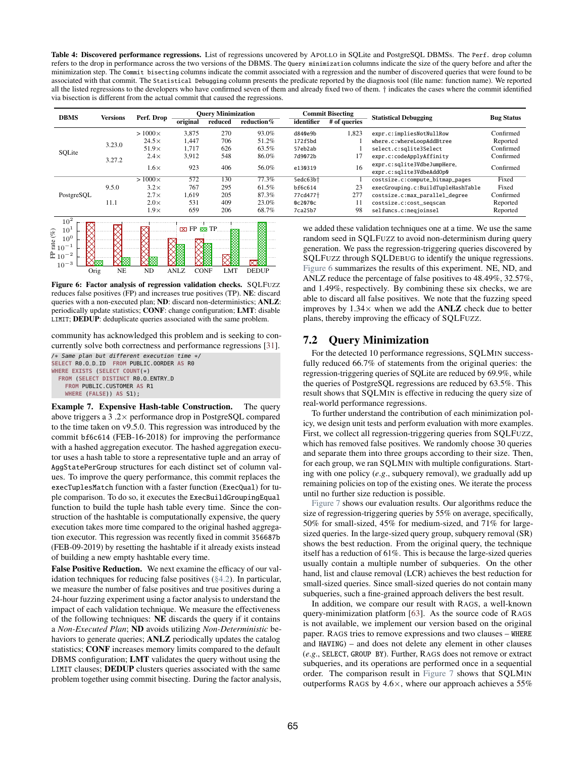Table 4: Discovered performance regressions. List of regressions uncovered by APOLLO in SQLite and PostgreSQL DBMSs. The Perf. drop column refers to the drop in performance across the two versions of the DBMS. The Query minimization columns indicate the size of the query before and after the minimization step. The Commit bisecting columns indicate the commit associated with a regression and the number of discovered queries that were found to be associated with that commit. The Statistical Debugging column presents the predicate reported by the diagnosis tool (file name: function name). We reported all the listed regressions to the developers who have confirmed seven of them and already fixed two of them. † indicates the cases where the commit identified via bisection is different from the actual commit that caused the regressions.

<span id="page-8-1"></span>

| <b>DBMS</b> | <b>Versions</b> | Perf. Drop    | original | <b>Ouery Minimization</b><br>reduced | reduction% | identifier           | <b>Commit Bisecting</b><br># of queries | <b>Statistical Debugging</b>                            | <b>Bug Status</b> |
|-------------|-----------------|---------------|----------|--------------------------------------|------------|----------------------|-----------------------------------------|---------------------------------------------------------|-------------------|
|             |                 | $>1000\times$ | 3.875    | 270                                  | 93.0%      | d840e9b              | 1,823                                   | expr.c:impliesNotNullRow                                | Confirmed         |
|             | 3.23.0          | $24.5\times$  | 1.447    | 706                                  | 51.2%      | 172f5bd              |                                         | where.c:whereLoopAddBtree                               | Reported          |
| SOLite      |                 | $51.9\times$  | 1.717    | 626                                  | 63.5%      | 57eb2ab              |                                         | select.c:sqlite3Select                                  | Confirmed         |
|             |                 | $2.4\times$   | 3.912    | 548                                  | 86.0%      | 7d9072b              | 17                                      | expr.c:codeApplyAffinity                                | Confirmed         |
|             | 3.27.2          | $1.6\times$   | 923      | 406                                  | 56.0%      | e130319              | 16                                      | expr.c:sqlite3VdbeJumpHere,<br>expr.c:sqlite3VdbeAddOp0 | Confirmed         |
|             |                 | $>1000\times$ | 572      | 130                                  | 77.3%      | 5edc63bt             |                                         | costsize.c:compute_bitmap_pages                         | Fixed             |
|             | 9.5.0           | $3.2\times$   | 767      | 295                                  | 61.5%      | bf6c614              | 23                                      | execGrouping.c:BuildTupleHashTable                      | Fixed             |
| PostgreSOL  |                 | $2.7\times$   | 1.619    | 205                                  | 87.3%      | 77cd477 <sup>+</sup> | 277                                     | costsize.c:max_parallel_degree                          | Confirmed         |
|             | 11.1            | $2.0\times$   | 531      | 409                                  | 23.0%      | 0c2070c              | 11                                      | costsize.c:cost seascan                                 | Reported          |
| $\sim 2$    |                 | $1.9\times$   | 659      | 206                                  | 68.7%      | 7ca25b7              | 98                                      | selfuncs.c:negjoinsel                                   | Reported          |

<span id="page-8-2"></span>

Figure 6: Factor analysis of regression validation checks. SQLFUZZ reduces false positives (FP) and increases true positives (TP). NE: discard queries with a non-executed plan; ND: discard non-deterministics; ANLZ: periodically update statistics; CONF: change configuration; LMT: disable LIMIT; DEDUP: deduplicate queries associated with the same problem.

community has acknowledged this problem and is seeking to concurrently solve both correctness and performance regressions [\[31\]](#page-12-41).

/∗ Same plan but different execution time ∗/ **SELECT** R0.O\_D\_ID **FROM** PUBLIC.OORDER **AS** R0 **WHERE EXISTS** (**SELECT COUNT**(∗) **FROM** (**SELECT DISTINCT** R0.O\_ENTRY\_D **FROM** PUBLIC.CUSTOMER **AS** R1 **WHERE** (**FALSE**)) **AS** S1);

Example 7. Expensive Hash-table Construction. The query above triggers a 3 .2× performance drop in PostgreSQL compared to the time taken on v9.5.0. This regression was introduced by the commit bf6c614 (FEB-16-2018) for improving the performance with a hashed aggregation executor. The hashed aggregation executor uses a hash table to store a representative tuple and an array of AggStatePerGroup structures for each distinct set of column values. To improve the query performance, this commit replaces the execTuplesMatch function with a faster function (ExecQual) for tuple comparison. To do so, it executes the ExecBuildGroupingEqual function to build the tuple hash table every time. Since the construction of the hashtable is computationally expensive, the query execution takes more time compared to the original hashed aggregation executor. This regression was recently fixed in commit 356687b (FEB-09-2019) by resetting the hashtable if it already exists instead of building a new empty hashtable every time.

False Positive Reduction. We next examine the efficacy of our validation techniques for reducing false positives [\(§4.2\)](#page-3-12). In particular, we measure the number of false positives and true positives during a 24-hour fuzzing experiment using a factor analysis to understand the impact of each validation technique. We measure the effectiveness of the following techniques: NE discards the query if it contains a *Non-Executed Plan*; ND avoids utilizing *Non-Deterministic* behaviors to generate queries; **ANLZ** periodically updates the catalog statistics; CONF increases memory limits compared to the default DBMS configuration; LMT validates the query without using the LIMIT clauses; DEDUP clusters queries associated with the same problem together using commit bisecting. During the factor analysis, we added these validation techniques one at a time. We use the same random seed in SQLFUZZ to avoid non-determinism during query generation. We pass the regression-triggering queries discovered by SQLFUZZ through SQLDEBUG to identify the unique regressions. [Figure 6](#page-8-2) summarizes the results of this experiment. NE, ND, and ANLZ reduce the percentage of false positives to 48.49%, 32.57%, and 1.49%, respectively. By combining these six checks, we are able to discard all false positives. We note that the fuzzing speed improves by  $1.34 \times$  when we add the **ANLZ** check due to better plans, thereby improving the efficacy of SQLFUZZ.

## <span id="page-8-0"></span>7.2 Query Minimization

For the detected 10 performance regressions, SQLMIN successfully reduced 66.7% of statements from the original queries: the regression-triggering queries of SQLite are reduced by 69.9%, while the queries of PostgreSQL regressions are reduced by 63.5%. This result shows that SQLMIN is effective in reducing the query size of real-world performance regressions.

To further understand the contribution of each minimization policy, we design unit tests and perform evaluation with more examples. First, we collect all regression-triggering queries from SQLFUZZ, which has removed false positives. We randomly choose 30 queries and separate them into three groups according to their size. Then, for each group, we ran SQLMIN with multiple configurations. Starting with one policy (*e*.*g*., subquery removal), we gradually add up remaining policies on top of the existing ones. We iterate the process until no further size reduction is possible.

[Figure 7](#page-9-2) shows our evaluation results. Our algorithms reduce the size of regression-triggering queries by 55% on average, specifically, 50% for small-sized, 45% for medium-sized, and 71% for largesized queries. In the large-sized query group, subquery removal (SR) shows the best reduction. From the original query, the technique itself has a reduction of 61%. This is because the large-sized queries usually contain a multiple number of subqueries. On the other hand, list and clause removal (LCR) achieves the best reduction for small-sized queries. Since small-sized queries do not contain many subqueries, such a fine-grained approach delivers the best result.

In addition, we compare our result with RAGS, a well-known query-minimization platform [\[63\]](#page-13-3). As the source code of RAGS is not available, we implement our version based on the original paper. RAGS tries to remove expressions and two clauses – WHERE and HAVING) – and does not delete any element in other clauses (*e*.*g*., SELECT, GROUP BY). Further, RAGS does not remove or extract subqueries, and its operations are performed once in a sequential order. The comparison result in [Figure 7](#page-9-2) shows that SQLMIN outperforms RAGS by  $4.6 \times$ , where our approach achieves a 55%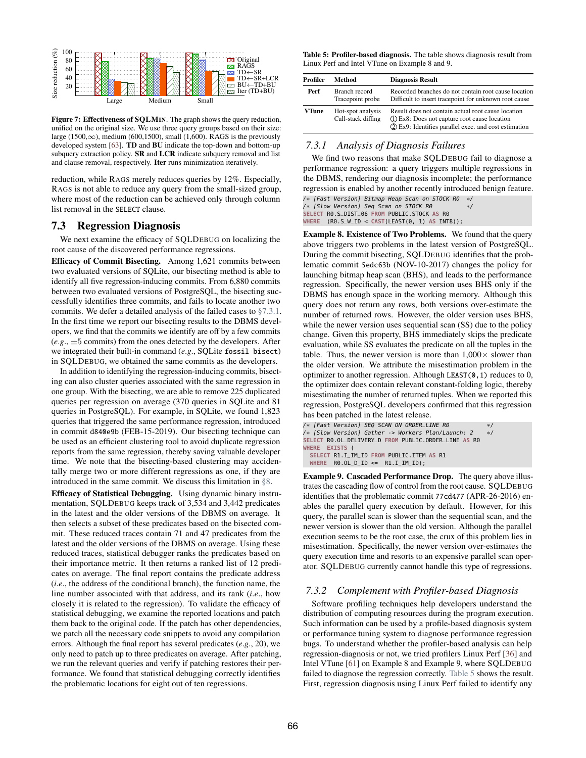<span id="page-9-2"></span>

Figure 7: Effectiveness of SQLMIN. The graph shows the query reduction, unified on the original size. We use three query groups based on their size: large (1500, $\infty$ ), medium (600,1500), small (1,600). RAGS is the previously developed system [\[63\]](#page-13-3). TD and BU indicate the top-down and bottom-up subquery extraction policy. SR and LCR indicate subquery removal and list and clause removal, respectively. Iter runs minimization iteratively.

reduction, while RAGS merely reduces queries by 12%. Especially, RAGS is not able to reduce any query from the small-sized group, where most of the reduction can be achieved only through column list removal in the SELECT clause.

#### <span id="page-9-1"></span>7.3 Regression Diagnosis

We next examine the efficacy of SQLDEBUG on localizing the root cause of the discovered performance regressions.

Efficacy of Commit Bisecting. Among 1,621 commits between two evaluated versions of SQLite, our bisecting method is able to identify all five regression-inducing commits. From 6,880 commits between two evaluated versions of PostgreSQL, the bisecting successfully identifies three commits, and fails to locate another two commits. We defer a detailed analysis of the failed cases to [§7.3.1.](#page-9-0) In the first time we report our bisecting results to the DBMS developers, we find that the commits we identify are off by a few commits  $(e.g., \pm 5$  commits) from the ones detected by the developers. After we integrated their built-in command (*e*.*g*., SQLite fossil bisect) in SQLDEBUG, we obtained the same commits as the developers.

In addition to identifying the regression-inducing commits, bisecting can also cluster queries associated with the same regression in one group. With the bisecting, we are able to remove 225 duplicated queries per regression on average (370 queries in SQLite and 81 queries in PostgreSQL). For example, in SQLite, we found 1,823 queries that triggered the same performance regression, introduced in commit d840e9b (FEB-15-2019). Our bisecting technique can be used as an efficient clustering tool to avoid duplicate regression reports from the same regression, thereby saving valuable developer time. We note that the bisecting-based clustering may accidentally merge two or more different regressions as one, if they are introduced in the same commit. We discuss this limitation in [§8.](#page-10-1)

Efficacy of Statistical Debugging. Using dynamic binary instrumentation, SQLDEBUG keeps track of 3,534 and 3,442 predicates in the latest and the older versions of the DBMS on average. It then selects a subset of these predicates based on the bisected commit. These reduced traces contain 71 and 47 predicates from the latest and the older versions of the DBMS on average. Using these reduced traces, statistical debugger ranks the predicates based on their importance metric. It then returns a ranked list of 12 predicates on average. The final report contains the predicate address (*i*.*e*., the address of the conditional branch), the function name, the line number associated with that address, and its rank (*i*.*e*., how closely it is related to the regression). To validate the efficacy of statistical debugging, we examine the reported locations and patch them back to the original code. If the patch has other dependencies, we patch all the necessary code snippets to avoid any compilation errors. Although the final report has several predicates (*e*.*g*., 20), we only need to patch up to three predicates on average. After patching, we run the relevant queries and verify if patching restores their performance. We found that statistical debugging correctly identifies the problematic locations for eight out of ten regressions.

Table 5: Profiler-based diagnosis. The table shows diagnosis result from Linux Perf and Intel VTune on Example 8 and 9.

<span id="page-9-3"></span>

| Profiler | Method                                  | <b>Diagnosis Result</b>                                                                                                                                       |
|----------|-----------------------------------------|---------------------------------------------------------------------------------------------------------------------------------------------------------------|
| Perf     | Branch record<br>Tracepoint probe       | Recorded branches do not contain root cause location<br>Difficult to insert tracepoint for unknown root cause                                                 |
| VTune    | Hot-spot analysis<br>Call-stack diffing | Result does not contain actual root cause location<br>(1) Ex8: Does not capture root cause location<br>(2) Ex9: Identifies parallel exec. and cost estimation |

## <span id="page-9-0"></span>*7.3.1 Analysis of Diagnosis Failures*

We find two reasons that make SQLDEBUG fail to diagnose a performance regression: a query triggers multiple regressions in the DBMS, rendering our diagnosis incomplete; the performance regression is enabled by another recently introduced benign feature.

/∗ [Fast Version] Bitmap Heap Scan on STOCK R0 ∗/ /∗ [Slow Version] Seq Scan on STOCK R0 ∗/ **SELECT** R0.S\_DIST\_06 **FROM** PUBLIC.STOCK **AS** R0 **WHERE** (R0.S\_W\_ID < **CAST**(LEAST(0, 1) **AS** INT8));

Example 8. Existence of Two Problems. We found that the query above triggers two problems in the latest version of PostgreSQL. During the commit bisecting, SQLDEBUG identifies that the problematic commit 5edc63b (NOV-10-2017) changes the policy for launching bitmap heap scan (BHS), and leads to the performance regression. Specifically, the newer version uses BHS only if the DBMS has enough space in the working memory. Although this query does not return any rows, both versions over-estimate the number of returned rows. However, the older version uses BHS, while the newer version uses sequential scan (SS) due to the policy change. Given this property, BHS immediately skips the predicate evaluation, while SS evaluates the predicate on all the tuples in the table. Thus, the newer version is more than  $1,000 \times$  slower than the older version. We attribute the misestimation problem in the optimizer to another regression. Although LEAST(0,1) reduces to 0, the optimizer does contain relevant constant-folding logic, thereby misestimating the number of returned tuples. When we reported this regression, PostgreSQL developers confirmed that this regression has been patched in the latest release.

```
/∗ [Fast Version] SEQ SCAN ON ORDER_LINE R0 ∗/
/∗ [Slow Version] Gather -> Workers Plan/Launch: 2 ∗/
SELECT R0.OL_DELIVERY_D FROM PUBLIC.ORDER_LINE AS R0
WHERE EXISTS (
  SELECT R1.I_IM_ID FROM PUBLIC.ITEM AS R1
  WHERE R0.OL_D_ID <= R1.I_IM_ID);
```
Example 9. Cascaded Performance Drop. The query above illustrates the cascading flow of control from the root cause. SQLDEBUG identifies that the problematic commit 77cd477 (APR-26-2016) enables the parallel query execution by default. However, for this query, the parallel scan is slower than the sequential scan, and the newer version is slower than the old version. Although the parallel execution seems to be the root case, the crux of this problem lies in misestimation. Specifically, the newer version over-estimates the query execution time and resorts to an expensive parallel scan operator. SQLDEBUG currently cannot handle this type of regressions.

#### *7.3.2 Complement with Profiler-based Diagnosis*

Software profiling techniques help developers understand the distribution of computing resources during the program execution. Such information can be used by a profile-based diagnosis system or performance tuning system to diagnose performance regression bugs. To understand whether the profiler-based analysis can help regression-diagnosis or not, we tried profilers Linux Perf [\[36\]](#page-12-42) and Intel VTune [\[61\]](#page-13-12) on Example 8 and Example 9, where SQLDEBUG failed to diagnose the regression correctly. [Table 5](#page-9-3) shows the result. First, regression diagnosis using Linux Perf failed to identify any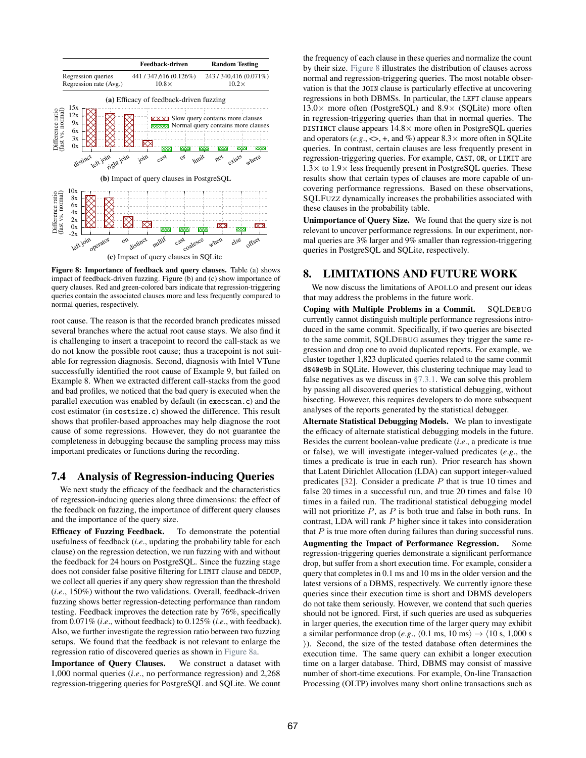<span id="page-10-2"></span>

Figure 8: Importance of feedback and query clauses. Table (a) shows impact of feedback-driven fuzzing. Figure (b) and (c) show importance of query clauses. Red and green-colored bars indicate that regression-triggering queries contain the associated clauses more and less frequently compared to normal queries, respectively.

root cause. The reason is that the recorded branch predicates missed several branches where the actual root cause stays. We also find it is challenging to insert a tracepoint to record the call-stack as we do not know the possible root cause; thus a tracepoint is not suitable for regression diagnosis. Second, diagnosis with Intel VTune successfully identified the root cause of Example 9, but failed on Example 8. When we extracted different call-stacks from the good and bad profiles, we noticed that the bad query is executed when the parallel execution was enabled by default (in execscan.c) and the cost estimator (in costsize.c) showed the difference. This result shows that profiler-based approaches may help diagnose the root cause of some regressions. However, they do not guarantee the completeness in debugging because the sampling process may miss important predicates or functions during the recording.

### <span id="page-10-0"></span>7.4 Analysis of Regression-inducing Queries

We next study the efficacy of the feedback and the characteristics of regression-inducing queries along three dimensions: the effect of the feedback on fuzzing, the importance of different query clauses and the importance of the query size.

Efficacy of Fuzzing Feedback. To demonstrate the potential usefulness of feedback (*i*.*e*., updating the probability table for each clause) on the regression detection, we run fuzzing with and without the feedback for 24 hours on PostgreSQL. Since the fuzzing stage does not consider false positive filtering for LIMIT clause and DEDUP, we collect all queries if any query show regression than the threshold (*i*.*e*., 150%) without the two validations. Overall, feedback-driven fuzzing shows better regression-detecting performance than random testing. Feedback improves the detection rate by 76%, specifically from 0.071% (*i*.*e*., without feedback) to 0.125% (*i*.*e*., with feedback). Also, we further investigate the regression ratio between two fuzzing setups. We found that the feedback is not relevant to enlarge the regression ratio of discovered queries as shown in [Figure 8a.](#page-10-2)

Importance of Query Clauses. We construct a dataset with 1,000 normal queries (*i*.*e*., no performance regression) and 2,268 regression-triggering queries for PostgreSQL and SQLite. We count

the frequency of each clause in these queries and normalize the count by their size. [Figure 8](#page-10-2) illustrates the distribution of clauses across normal and regression-triggering queries. The most notable observation is that the JOIN clause is particularly effective at uncovering regressions in both DBMSs. In particular, the LEFT clause appears  $13.0\times$  more often (PostgreSQL) and  $8.9\times$  (SQLite) more often in regression-triggering queries than that in normal queries. The DISTINCT clause appears  $14.8 \times$  more often in PostgreSQL queries and operators ( $e.g., \leq, +$ , and %) appear  $8.3 \times$  more often in SQLite queries. In contrast, certain clauses are less frequently present in regression-triggering queries. For example, CAST, OR, or LIMIT are  $1.3\times$  to  $1.9\times$  less frequently present in PostgreSQL queries. These results show that certain types of clauses are more capable of uncovering performance regressions. Based on these observations, SQLFUZZ dynamically increases the probabilities associated with these clauses in the probability table.

Unimportance of Query Size. We found that the query size is not relevant to uncover performance regressions. In our experiment, normal queries are 3% larger and 9% smaller than regression-triggering queries in PostgreSQL and SQLite, respectively.

## <span id="page-10-1"></span>8. LIMITATIONS AND FUTURE WORK

We now discuss the limitations of APOLLO and present our ideas that may address the problems in the future work.

Coping with Multiple Problems in a Commit. SQLDEBUG currently cannot distinguish multiple performance regressions introduced in the same commit. Specifically, if two queries are bisected to the same commit, SQLDEBUG assumes they trigger the same regression and drop one to avoid duplicated reports. For example, we cluster together 1,823 duplicated queries related to the same commit d840e9b in SQLite. However, this clustering technique may lead to false negatives as we discuss in [§7.3.1.](#page-9-0) We can solve this problem by passing all discovered queries to statistical debugging, without bisecting. However, this requires developers to do more subsequent analyses of the reports generated by the statistical debugger.

Alternate Statistical Debugging Models. We plan to investigate the efficacy of alternate statistical debugging models in the future. Besides the current boolean-value predicate (*i*.*e*., a predicate is true or false), we will investigate integer-valued predicates (*e*.*g*., the times a predicate is true in each run). Prior research has shown that Latent Dirichlet Allocation (LDA) can support integer-valued predicates [\[32\]](#page-12-43). Consider a predicate  $P$  that is true 10 times and false 20 times in a successful run, and true 20 times and false 10 times in a failed run. The traditional statistical debugging model will not prioritize  $P$ , as  $P$  is both true and false in both runs. In contrast, LDA will rank P higher since it takes into consideration that  $P$  is true more often during failures than during successful runs. Augmenting the Impact of Performance Regression. Some regression-triggering queries demonstrate a significant performance drop, but suffer from a short execution time. For example, consider a query that completes in 0.1 ms and 10 ms in the older version and the latest versions of a DBMS, respectively. We currently ignore these queries since their execution time is short and DBMS developers do not take them seriously. However, we contend that such queries should not be ignored. First, if such queries are used as subqueries in larger queries, the execution time of the larger query may exhibit a similar performance drop (*e.g.*,  $\langle 0.1 \text{ ms}, 10 \text{ ms} \rangle \rightarrow \langle 10 \text{ s}, 1,000 \text{ s} \rangle$ ⟩). Second, the size of the tested database often determines the execution time. The same query can exhibit a longer execution time on a larger database. Third, DBMS may consist of massive number of short-time executions. For example, On-line Transaction Processing (OLTP) involves many short online transactions such as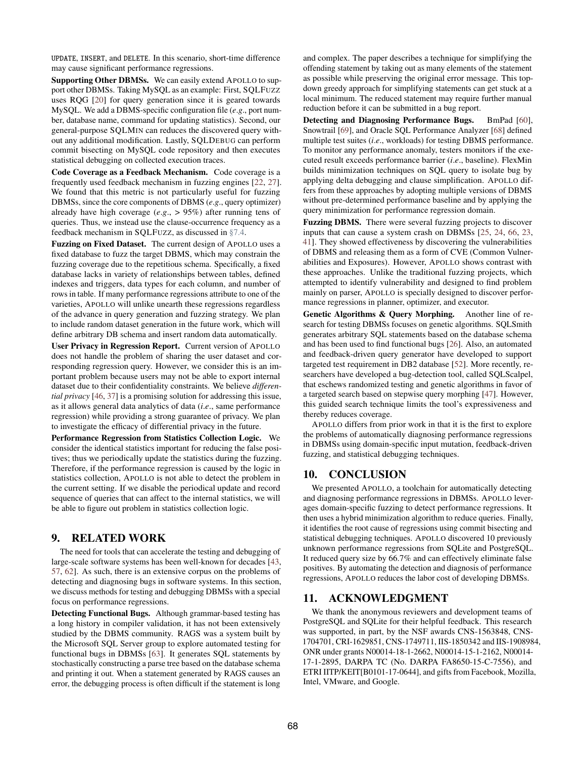UPDATE, INSERT, and DELETE. In this scenario, short-time difference may cause significant performance regressions.

Supporting Other DBMSs. We can easily extend APOLLO to support other DBMSs. Taking MySQL as an example: First, SQLFUZZ uses RQG [\[20\]](#page-12-31) for query generation since it is geared towards MySQL. We add a DBMS-specific configuration file (*e*.*g*., port number, database name, command for updating statistics). Second, our general-purpose SQLMIN can reduces the discovered query without any additional modification. Lastly, SQLDEBUG can perform commit bisecting on MySQL code repository and then executes statistical debugging on collected execution traces.

Code Coverage as a Feedback Mechanism. Code coverage is a frequently used feedback mechanism in fuzzing engines [\[22,](#page-12-21) [27\]](#page-12-24). We found that this metric is not particularly useful for fuzzing DBMSs, since the core components of DBMS (*e*.*g*., query optimizer) already have high coverage (*e*.*g*., > 95%) after running tens of queries. Thus, we instead use the clause-occurrence frequency as a feedback mechanism in SQLFUZZ, as discussed in [§7.4.](#page-10-0)

Fuzzing on Fixed Dataset. The current design of APOLLO uses a fixed database to fuzz the target DBMS, which may constrain the fuzzing coverage due to the repetitious schema. Specifically, a fixed database lacks in variety of relationships between tables, defined indexes and triggers, data types for each column, and number of rows in table. If many performance regressions attribute to one of the varieties, APOLLO will unlike unearth these regressions regardless of the advance in query generation and fuzzing strategy. We plan to include random dataset generation in the future work, which will define arbitrary DB schema and insert random data automatically.

User Privacy in Regression Report. Current version of APOLLO does not handle the problem of sharing the user dataset and corresponding regression query. However, we consider this is an important problem because users may not be able to export internal dataset due to their confidentiality constraints. We believe *differential privacy* [\[46,](#page-12-44) [37\]](#page-12-45) is a promising solution for addressing this issue, as it allows general data analytics of data (*i*.*e*., same performance regression) while providing a strong guarantee of privacy. We plan to investigate the efficacy of differential privacy in the future.

Performance Regression from Statistics Collection Logic. We consider the identical statistics important for reducing the false positives; thus we periodically update the statistics during the fuzzing. Therefore, if the performance regression is caused by the logic in statistics collection, APOLLO is not able to detect the problem in the current setting. If we disable the periodical update and record sequence of queries that can affect to the internal statistics, we will be able to figure out problem in statistics collection logic.

## 9. RELATED WORK

The need for tools that can accelerate the testing and debugging of large-scale software systems has been well-known for decades [\[43,](#page-12-46) [57,](#page-13-13) [62\]](#page-13-14). As such, there is an extensive corpus on the problems of detecting and diagnosing bugs in software systems. In this section, we discuss methods for testing and debugging DBMSs with a special focus on performance regressions.

Detecting Functional Bugs. Although grammar-based testing has a long history in compiler validation, it has not been extensively studied by the DBMS community. RAGS was a system built by the Microsoft SQL Server group to explore automated testing for functional bugs in DBMSs [\[63\]](#page-13-3). It generates SQL statements by stochastically constructing a parse tree based on the database schema and printing it out. When a statement generated by RAGS causes an error, the debugging process is often difficult if the statement is long and complex. The paper describes a technique for simplifying the offending statement by taking out as many elements of the statement as possible while preserving the original error message. This topdown greedy approach for simplifying statements can get stuck at a local minimum. The reduced statement may require further manual reduction before it can be submitted in a bug report.

Detecting and Diagnosing Performance Bugs. BmPad [\[60\]](#page-13-15), Snowtrail [\[69\]](#page-13-16), and Oracle SQL Performance Analyzer [\[68\]](#page-13-17) defined multiple test suites (*i*.*e*., workloads) for testing DBMS performance. To monitor any performance anomaly, testers monitors if the executed result exceeds performance barrier (*i*.*e*., baseline). FlexMin builds minimization techniques on SQL query to isolate bug by applying delta debugging and clause simplification. APOLLO differs from these approaches by adopting multiple versions of DBMS without pre-determined performance baseline and by applying the query minimization for performance regression domain.

Fuzzing DBMS. There were several fuzzing projects to discover inputs that can cause a system crash on DBMSs [\[25,](#page-12-47) [24,](#page-12-48) [66,](#page-13-18) [23,](#page-12-32) [41\]](#page-12-49). They showed effectiveness by discovering the vulnerabilities of DBMS and releasing them as a form of CVE (Common Vulnerabilities and Exposures). However, APOLLO shows contrast with these approaches. Unlike the traditional fuzzing projects, which attempted to identify vulnerability and designed to find problem mainly on parser, APOLLO is specially designed to discover performance regressions in planner, optimizer, and executor.

Genetic Algorithms & Query Morphing. Another line of research for testing DBMSs focuses on genetic algorithms. SQLSmith generates arbitrary SQL statements based on the database schema and has been used to find functional bugs [\[26\]](#page-12-30). Also, an automated and feedback-driven query generator have developed to support targeted test requirement in DB2 database [\[52\]](#page-13-19). More recently, researchers have developed a bug-detection tool, called SQLScalpel, that eschews randomized testing and genetic algorithms in favor of a targeted search based on stepwise query morphing [\[47\]](#page-12-50). However, this guided search technique limits the tool's expressiveness and thereby reduces coverage.

APOLLO differs from prior work in that it is the first to explore the problems of automatically diagnosing performance regressions in DBMSs using domain-specific input mutation, feedback-driven fuzzing, and statistical debugging techniques.

## 10. CONCLUSION

We presented APOLLO, a toolchain for automatically detecting and diagnosing performance regressions in DBMSs. APOLLO leverages domain-specific fuzzing to detect performance regressions. It then uses a hybrid minimization algorithm to reduce queries. Finally, it identifies the root cause of regressions using commit bisecting and statistical debugging techniques. APOLLO discovered 10 previously unknown performance regressions from SQLite and PostgreSQL. It reduced query size by 66.7% and can effectively eliminate false positives. By automating the detection and diagnosis of performance regressions, APOLLO reduces the labor cost of developing DBMSs.

## 11. ACKNOWLEDGMENT

We thank the anonymous reviewers and development teams of PostgreSQL and SQLite for their helpful feedback. This research was supported, in part, by the NSF awards CNS-1563848, CNS-1704701, CRI-1629851, CNS-1749711, IIS-1850342 and IIS-1908984, ONR under grants N00014-18-1-2662, N00014-15-1-2162, N00014- 17-1-2895, DARPA TC (No. DARPA FA8650-15-C-7556), and ETRI IITP/KEIT[B0101-17-0644], and gifts from Facebook, Mozilla, Intel, VMware, and Google.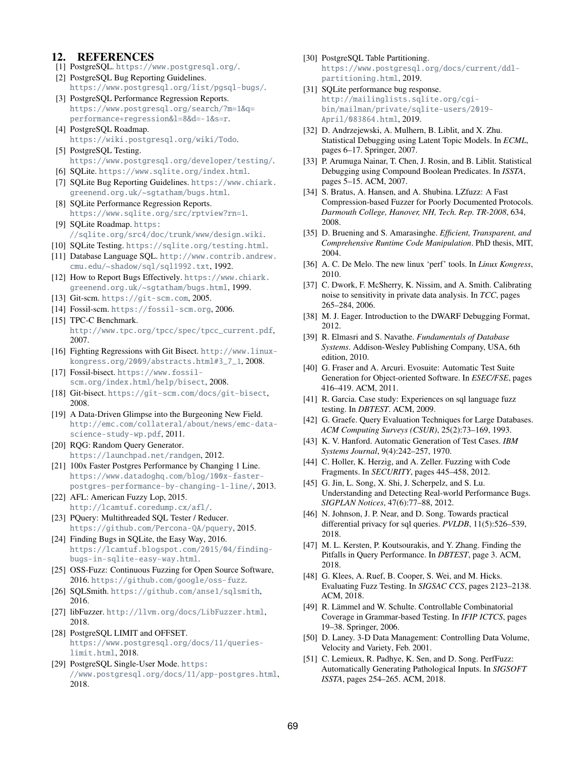## 12. REFERENCES

- <span id="page-12-14"></span>[1] PostgreSQL. <https://www.postgresql.org/>.
- <span id="page-12-7"></span>[2] PostgreSQL Bug Reporting Guidelines. <https://www.postgresql.org/list/pgsql-bugs/>.
- <span id="page-12-6"></span>[3] PostgreSQL Performance Regression Reports. [https://www.postgresql.org/search/?m=1&q=](https://www.postgresql.org/search/?m=1&q=performance+regression&l=8&d=-1&s=r) [performance+regression&l=8&d=-1&s=r](https://www.postgresql.org/search/?m=1&q=performance+regression&l=8&d=-1&s=r).
- <span id="page-12-3"></span>[4] PostgreSOL Roadmap. <https://wiki.postgresql.org/wiki/Todo>.
- <span id="page-12-10"></span>[5] PostgreSQL Testing. <https://www.postgresql.org/developer/testing/>.
- <span id="page-12-13"></span>[6] SQLite. <https://www.sqlite.org/index.html>.
- <span id="page-12-8"></span>[7] SQLite Bug Reporting Guidelines. [https://www.chiark.](https://www.chiark.greenend.org.uk/~sgtatham/bugs.html) [greenend.org.uk/~sgtatham/bugs.html](https://www.chiark.greenend.org.uk/~sgtatham/bugs.html).
- <span id="page-12-5"></span>[8] SQLite Performance Regression Reports. <https://www.sqlite.org/src/rptview?rn=1>.
- <span id="page-12-4"></span>[9] SQLite Roadmap. [https:](https://sqlite.org/src4/doc/trunk/www/design.wiki) [//sqlite.org/src4/doc/trunk/www/design.wiki](https://sqlite.org/src4/doc/trunk/www/design.wiki).
- <span id="page-12-9"></span>[10] SQLite Testing. <https://sqlite.org/testing.html>.
- <span id="page-12-22"></span>[11] Database Language SQL. [http://www.contrib.andrew.](http://www.contrib.andrew.cmu.edu/~shadow/sql/sql1992.txt) [cmu.edu/~shadow/sql/sql1992.txt](http://www.contrib.andrew.cmu.edu/~shadow/sql/sql1992.txt), 1992.
- <span id="page-12-11"></span>[12] How to Report Bugs Effectively. [https://www.chiark.](https://www.chiark.greenend.org.uk/~sgtatham/bugs.html) [greenend.org.uk/~sgtatham/bugs.html](https://www.chiark.greenend.org.uk/~sgtatham/bugs.html), 1999.
- <span id="page-12-33"></span>[13] Git-scm. <https://git-scm.com>, 2005.
- <span id="page-12-34"></span>[14] Fossil-scm. <https://fossil-scm.org>, 2006.
- <span id="page-12-16"></span>[15] TPC-C Benchmark. [http://www.tpc.org/tpcc/spec/tpcc\\_current.pdf](http://www.tpc.org/tpcc/spec/tpcc_current.pdf), 2007.
- <span id="page-12-35"></span>[16] Fighting Regressions with Git Bisect. [http://www.linux](http://www.linux-kongress.org/2009/abstracts.html#3_7_1)[kongress.org/2009/abstracts.html#3\\_7\\_1](http://www.linux-kongress.org/2009/abstracts.html#3_7_1), 2008.
- <span id="page-12-37"></span>[17] Fossil-bisect. [https://www.fossil](https://www.fossil-scm.org/index.html/help/bisect)[scm.org/index.html/help/bisect](https://www.fossil-scm.org/index.html/help/bisect), 2008.
- <span id="page-12-36"></span>[18] Git-bisect. <https://git-scm.com/docs/git-bisect>, 2008.
- <span id="page-12-1"></span>[19] A Data-Driven Glimpse into the Burgeoning New Field. [http://emc.com/collateral/about/news/emc-data](http://emc.com/collateral/about/news/emc-data-science-study-wp.pdf)[science-study-wp.pdf](http://emc.com/collateral/about/news/emc-data-science-study-wp.pdf), 2011.
- <span id="page-12-31"></span>[20] RQG: Random Query Generator. <https://launchpad.net/randgen>, 2012.
- <span id="page-12-15"></span>[21] 100x Faster Postgres Performance by Changing 1 Line. [https://www.datadoghq.com/blog/100x-faster](https://www.datadoghq.com/blog/100x-faster-postgres-performance-by-changing-1-line/)[postgres-performance-by-changing-1-line/](https://www.datadoghq.com/blog/100x-faster-postgres-performance-by-changing-1-line/), 2013.
- <span id="page-12-21"></span>[22] AFL: American Fuzzy Lop, 2015. <http://lcamtuf.coredump.cx/afl/>.
- <span id="page-12-32"></span>[23] POuery: Multithreaded SOL Tester / Reducer. <https://github.com/Percona-QA/pquery>, 2015.
- <span id="page-12-48"></span>[24] Finding Bugs in SQLite, the Easy Way, 2016. [https://lcamtuf.blogspot.com/2015/04/finding](https://lcamtuf.blogspot.com/2015/04/finding-bugs-in-sqlite-easy-way.html)[bugs-in-sqlite-easy-way.html](https://lcamtuf.blogspot.com/2015/04/finding-bugs-in-sqlite-easy-way.html).
- <span id="page-12-47"></span>[25] OSS-Fuzz: Continuous Fuzzing for Open Source Software, 2016. <https://github.com/google/oss-fuzz>.
- <span id="page-12-30"></span>[26] SOLSmith. <https://github.com/anse1/sqlsmith>, 2016.
- <span id="page-12-24"></span>[27] libFuzzer. <http://llvm.org/docs/LibFuzzer.html>, 2018.
- <span id="page-12-28"></span>[28] PostgreSQL LIMIT and OFFSET. [https://www.postgresql.org/docs/11/queries](https://www.postgresql.org/docs/11/queries-limit.html)[limit.html](https://www.postgresql.org/docs/11/queries-limit.html), 2018.
- <span id="page-12-40"></span>[29] PostgreSQL Single-User Mode. [https:](https://www.postgresql.org/docs/11/app-postgres.html) [//www.postgresql.org/docs/11/app-postgres.html](https://www.postgresql.org/docs/11/app-postgres.html), 2018.
- <span id="page-12-27"></span>[30] PostgreSQL Table Partitioning. [https://www.postgresql.org/docs/current/ddl](https://www.postgresql.org/docs/current/ddl-partitioning.html)[partitioning.html](https://www.postgresql.org/docs/current/ddl-partitioning.html), 2019.
- <span id="page-12-41"></span>[31] SQLite performance bug response. [http://mailinglists.sqlite.org/cgi](http://mailinglists.sqlite.org/cgi-bin/mailman/private/sqlite-users/2019-April/083864.html)[bin/mailman/private/sqlite-users/2019-](http://mailinglists.sqlite.org/cgi-bin/mailman/private/sqlite-users/2019-April/083864.html) [April/083864.html](http://mailinglists.sqlite.org/cgi-bin/mailman/private/sqlite-users/2019-April/083864.html), 2019.
- <span id="page-12-43"></span>[32] D. Andrzejewski, A. Mulhern, B. Liblit, and X. Zhu. Statistical Debugging using Latent Topic Models. In *ECML*, pages 6–17. Springer, 2007.
- <span id="page-12-20"></span>[33] P. Arumuga Nainar, T. Chen, J. Rosin, and B. Liblit. Statistical Debugging using Compound Boolean Predicates. In *ISSTA*, pages 5–15. ACM, 2007.
- <span id="page-12-17"></span>[34] S. Bratus, A. Hansen, and A. Shubina. LZfuzz: A Fast Compression-based Fuzzer for Poorly Documented Protocols. *Darmouth College, Hanover, NH, Tech. Rep. TR-2008*, 634, 2008.
- <span id="page-12-39"></span>[35] D. Bruening and S. Amarasinghe. *Efficient, Transparent, and Comprehensive Runtime Code Manipulation*. PhD thesis, MIT, 2004.
- <span id="page-12-42"></span>[36] A. C. De Melo. The new linux 'perf' tools. In *Linux Kongress*, 2010.
- <span id="page-12-45"></span>[37] C. Dwork, F. McSherry, K. Nissim, and A. Smith. Calibrating noise to sensitivity in private data analysis. In *TCC*, pages 265–284, 2006.
- <span id="page-12-38"></span>[38] M. J. Eager. Introduction to the DWARF Debugging Format, 2012.
- <span id="page-12-26"></span>[39] R. Elmasri and S. Navathe. *Fundamentals of Database Systems*. Addison-Wesley Publishing Company, USA, 6th edition, 2010.
- <span id="page-12-18"></span>[40] G. Fraser and A. Arcuri. Evosuite: Automatic Test Suite Generation for Object-oriented Software. In *ESEC/FSE*, pages 416–419. ACM, 2011.
- <span id="page-12-49"></span>[41] R. Garcia. Case study: Experiences on sql language fuzz testing. In *DBTEST*. ACM, 2009.
- <span id="page-12-2"></span>[42] G. Graefe. Query Evaluation Techniques for Large Databases. *ACM Computing Surveys (CSUR)*, 25(2):73–169, 1993.
- <span id="page-12-46"></span>[43] K. V. Hanford. Automatic Generation of Test Cases. *IBM Systems Journal*, 9(4):242–257, 1970.
- <span id="page-12-19"></span>[44] C. Holler, K. Herzig, and A. Zeller. Fuzzing with Code Fragments. In *SECURITY*, pages 445–458, 2012.
- <span id="page-12-12"></span>[45] G. Jin, L. Song, X. Shi, J. Scherpelz, and S. Lu. Understanding and Detecting Real-world Performance Bugs. *SIGPLAN Notices*, 47(6):77–88, 2012.
- <span id="page-12-44"></span>[46] N. Johnson, J. P. Near, and D. Song. Towards practical differential privacy for sql queries. *PVLDB*, 11(5):526–539, 2018.
- <span id="page-12-50"></span>[47] M. L. Kersten, P. Koutsourakis, and Y. Zhang. Finding the Pitfalls in Query Performance. In *DBTEST*, page 3. ACM, 2018.
- <span id="page-12-29"></span>[48] G. Klees, A. Ruef, B. Cooper, S. Wei, and M. Hicks. Evaluating Fuzz Testing. In *SIGSAC CCS*, pages 2123–2138. ACM, 2018.
- <span id="page-12-23"></span>[49] R. Lämmel and W. Schulte. Controllable Combinatorial Coverage in Grammar-based Testing. In *IFIP ICTCS*, pages 19–38. Springer, 2006.
- <span id="page-12-0"></span>[50] D. Laney. 3-D Data Management: Controlling Data Volume, Velocity and Variety, Feb. 2001.
- <span id="page-12-25"></span>[51] C. Lemieux, R. Padhye, K. Sen, and D. Song. PerfFuzz: Automatically Generating Pathological Inputs. In *SIGSOFT ISSTA*, pages 254–265. ACM, 2018.